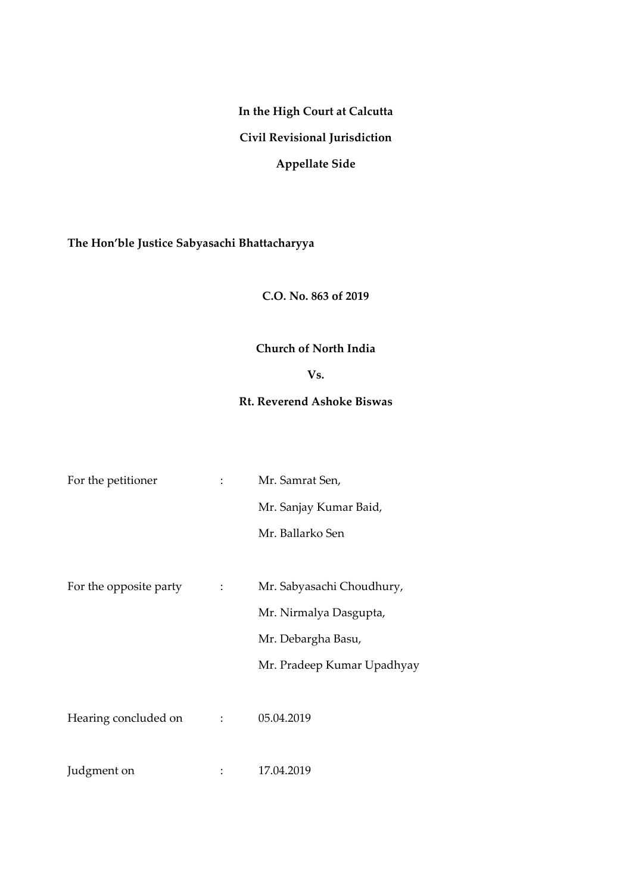**In the High Court at Calcutta**

# **Civil Revisional Jurisdiction**

# **Appellate Side**

# **The Hon'ble Justice Sabyasachi Bhattacharyya**

## **C.O. No. 863 of 2019**

## **Church of North India**

## **Vs.**

## **Rt. Reverend Ashoke Biswas**

| Mr. Samrat Sen,            |
|----------------------------|
| Mr. Sanjay Kumar Baid,     |
| Mr. Ballarko Sen           |
|                            |
| Mr. Sabyasachi Choudhury,  |
| Mr. Nirmalya Dasgupta,     |
| Mr. Debargha Basu,         |
| Mr. Pradeep Kumar Upadhyay |
|                            |
| 05.04.2019                 |
|                            |
| 17.04.2019                 |
|                            |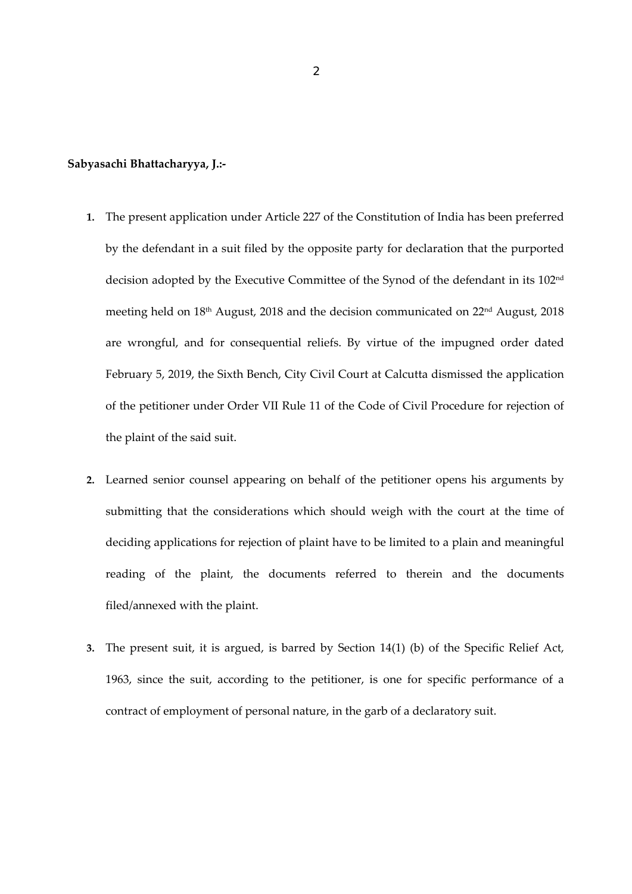#### **Sabyasachi Bhattacharyya, J.:‐**

- **1.** The present application under Article 227 of the Constitution of India has been preferred by the defendant in a suit filed by the opposite party for declaration that the purported decision adopted by the Executive Committee of the Synod of the defendant in its 102<sup>nd</sup> meeting held on 18th August, 2018 and the decision communicated on 22nd August, 2018 are wrongful, and for consequential reliefs. By virtue of the impugned order dated February 5, 2019, the Sixth Bench, City Civil Court at Calcutta dismissed the application of the petitioner under Order VII Rule 11 of the Code of Civil Procedure for rejection of the plaint of the said suit.
- **2.** Learned senior counsel appearing on behalf of the petitioner opens his arguments by submitting that the considerations which should weigh with the court at the time of deciding applications for rejection of plaint have to be limited to a plain and meaningful reading of the plaint, the documents referred to therein and the documents filed/annexed with the plaint.
- **3.** The present suit, it is argued, is barred by Section 14(1) (b) of the Specific Relief Act, 1963, since the suit, according to the petitioner, is one for specific performance of a contract of employment of personal nature, in the garb of a declaratory suit.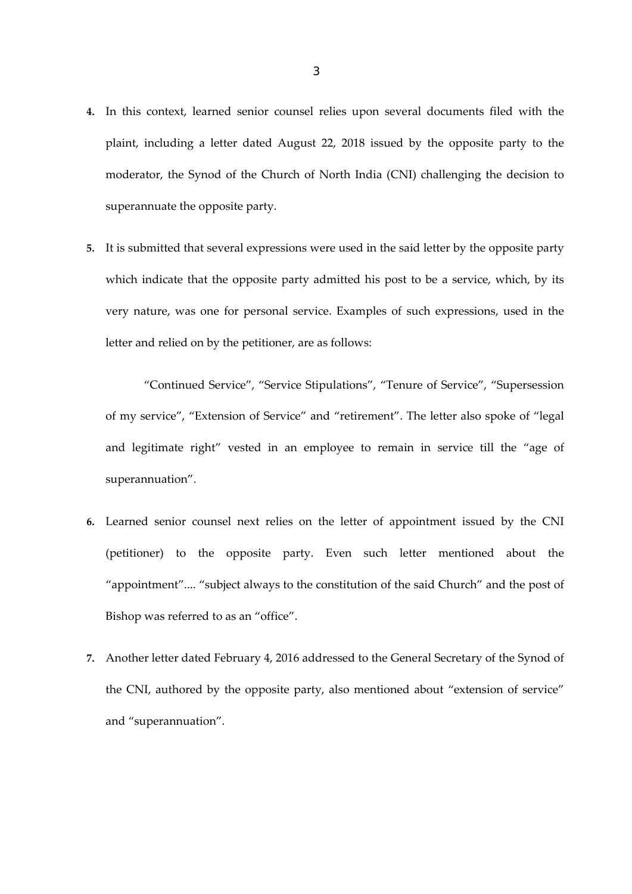- **4.** In this context, learned senior counsel relies upon several documents filed with the plaint, including a letter dated August 22, 2018 issued by the opposite party to the moderator, the Synod of the Church of North India (CNI) challenging the decision to superannuate the opposite party.
- **5.** It is submitted that several expressions were used in the said letter by the opposite party which indicate that the opposite party admitted his post to be a service, which, by its very nature, was one for personal service. Examples of such expressions, used in the letter and relied on by the petitioner, are as follows:

"Continued Service", "Service Stipulations", "Tenure of Service", "Supersession of my service", "Extension of Service" and "retirement". The letter also spoke of "legal and legitimate right" vested in an employee to remain in service till the "age of superannuation".

- **6.** Learned senior counsel next relies on the letter of appointment issued by the CNI (petitioner) to the opposite party. Even such letter mentioned about the "appointment".... "subject always to the constitution of the said Church" and the post of Bishop was referred to as an "office".
- **7.** Another letter dated February 4, 2016 addressed to the General Secretary of the Synod of the CNI, authored by the opposite party, also mentioned about "extension of service" and "superannuation".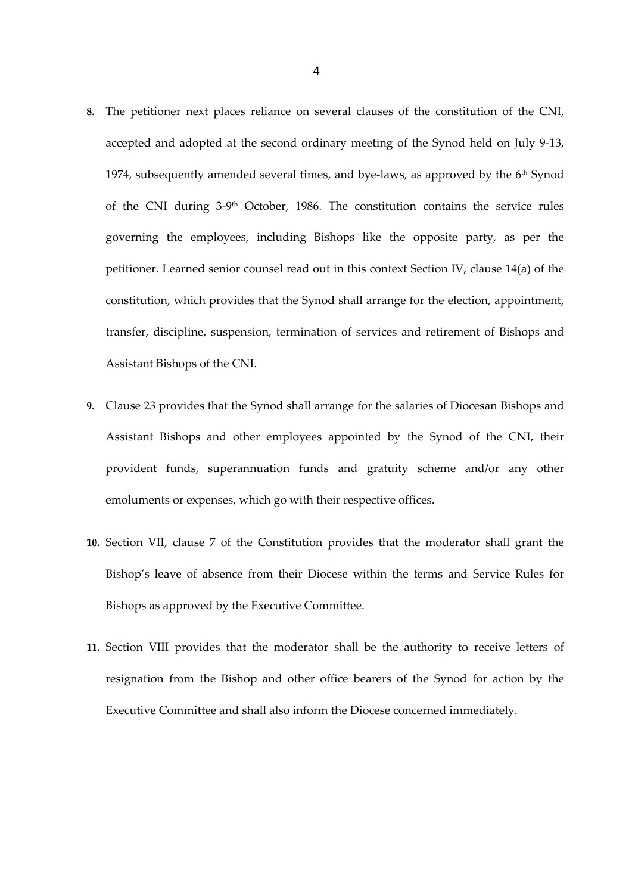- **8.** The petitioner next places reliance on several clauses of the constitution of the CNI, accepted and adopted at the second ordinary meeting of the Synod held on July 9‐13, 1974, subsequently amended several times, and bye-laws, as approved by the 6<sup>th</sup> Synod of the CNI during 3‐9th October, 1986. The constitution contains the service rules governing the employees, including Bishops like the opposite party, as per the petitioner. Learned senior counsel read out in this context Section IV, clause 14(a) of the constitution, which provides that the Synod shall arrange for the election, appointment, transfer, discipline, suspension, termination of services and retirement of Bishops and Assistant Bishops of the CNI.
- **9.** Clause 23 provides that the Synod shall arrange for the salaries of Diocesan Bishops and Assistant Bishops and other employees appointed by the Synod of the CNI, their provident funds, superannuation funds and gratuity scheme and/or any other emoluments or expenses, which go with their respective offices.
- **10.** Section VII, clause 7 of the Constitution provides that the moderator shall grant the Bishop's leave of absence from their Diocese within the terms and Service Rules for Bishops as approved by the Executive Committee.
- **11.** Section VIII provides that the moderator shall be the authority to receive letters of resignation from the Bishop and other office bearers of the Synod for action by the Executive Committee and shall also inform the Diocese concerned immediately.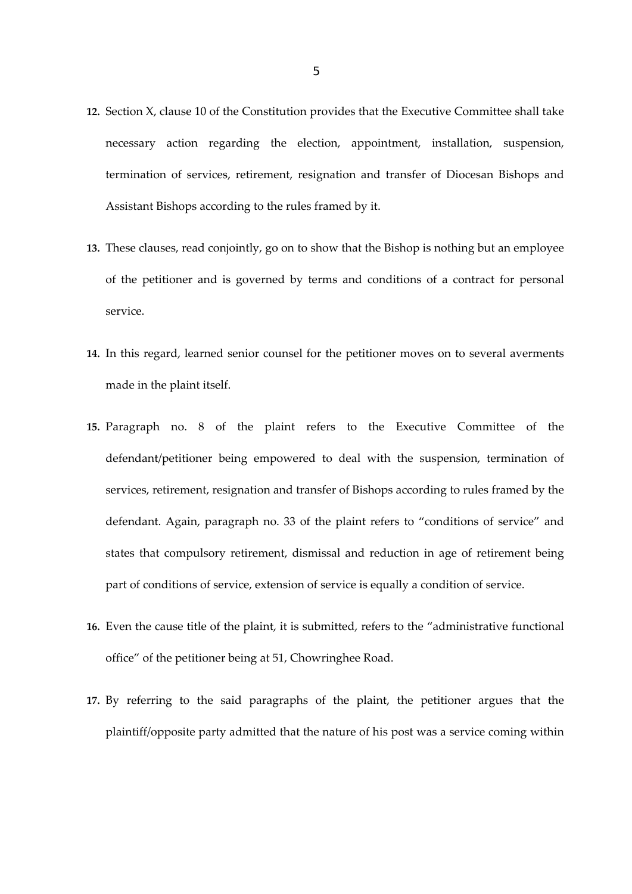- **12.** Section X, clause 10 of the Constitution provides that the Executive Committee shall take necessary action regarding the election, appointment, installation, suspension, termination of services, retirement, resignation and transfer of Diocesan Bishops and Assistant Bishops according to the rules framed by it.
- **13.** These clauses, read conjointly, go on to show that the Bishop is nothing but an employee of the petitioner and is governed by terms and conditions of a contract for personal service.
- **14.** In this regard, learned senior counsel for the petitioner moves on to several averments made in the plaint itself.
- **15.** Paragraph no. 8 of the plaint refers to the Executive Committee of the defendant/petitioner being empowered to deal with the suspension, termination of services, retirement, resignation and transfer of Bishops according to rules framed by the defendant. Again, paragraph no. 33 of the plaint refers to "conditions of service" and states that compulsory retirement, dismissal and reduction in age of retirement being part of conditions of service, extension of service is equally a condition of service.
- **16.** Even the cause title of the plaint, it is submitted, refers to the "administrative functional office" of the petitioner being at 51, Chowringhee Road.
- **17.** By referring to the said paragraphs of the plaint, the petitioner argues that the plaintiff/opposite party admitted that the nature of his post was a service coming within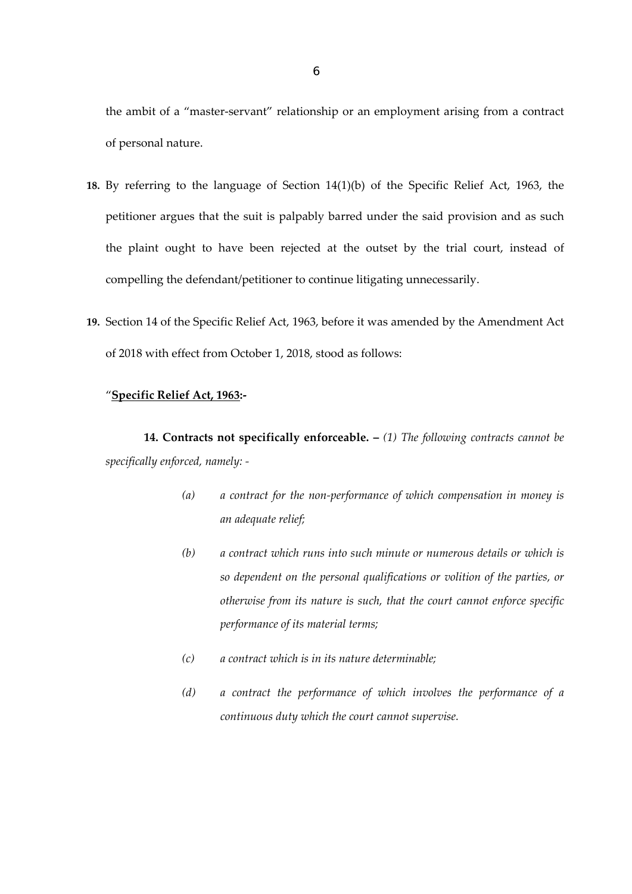the ambit of a "master‐servant" relationship or an employment arising from a contract of personal nature.

- **18.** By referring to the language of Section 14(1)(b) of the Specific Relief Act, 1963, the petitioner argues that the suit is palpably barred under the said provision and as such the plaint ought to have been rejected at the outset by the trial court, instead of compelling the defendant/petitioner to continue litigating unnecessarily.
- **19.** Section 14 of the Specific Relief Act, 1963, before it was amended by the Amendment Act of 2018 with effect from October 1, 2018, stood as follows:

### "**Specific Relief Act, 1963:‐**

**14. Contracts not specifically enforceable. –** *(1) The following contracts cannot be specifically enforced, namely: ‐*

- *(a) a contract for the non‐performance of which compensation in money is an adequate relief;*
- *(b) a contract which runs into such minute or numerous details or which is so dependent on the personal qualifications or volition of the parties, or otherwise from its nature is such, that the court cannot enforce specific performance of its material terms;*
- *(c) a contract which is in its nature determinable;*
- *(d) a contract the performance of which involves the performance of a continuous duty which the court cannot supervise.*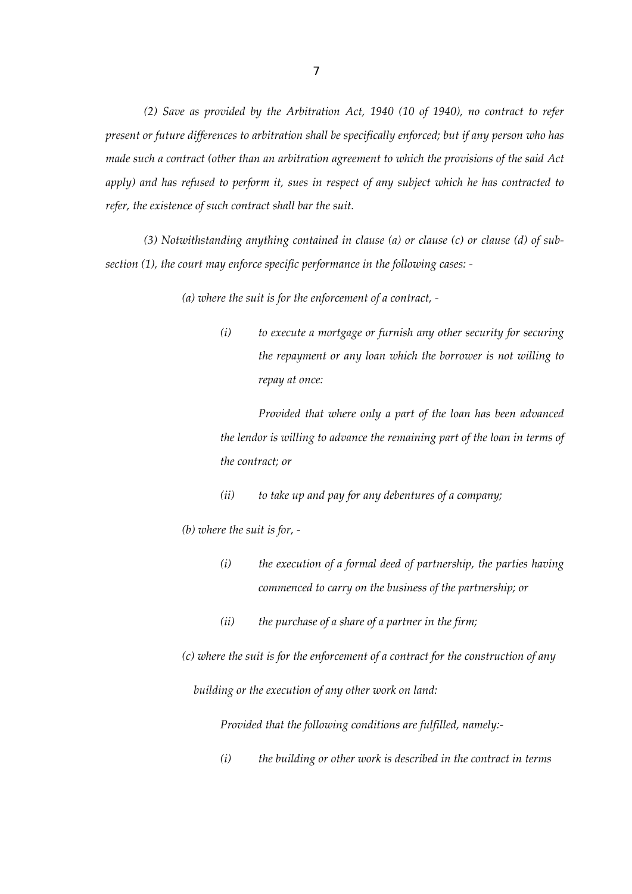*(2) Save as provided by the Arbitration Act, 1940 (10 of 1940), no contract to refer present or future differences to arbitration shall be specifically enforced; but if any person who has made such a contract (other than an arbitration agreement to which the provisions of the said Act apply) and has refused to perform it, sues in respect of any subject which he has contracted to refer, the existence of such contract shall bar the suit.*

*(3) Notwithstanding anything contained in clause (a) or clause (c) or clause (d) of sub‐ section (1), the court may enforce specific performance in the following cases: ‐*

*(a) where the suit is for the enforcement of a contract, ‐*

*(i) to execute a mortgage or furnish any other security for securing the repayment or any loan which the borrower is not willing to repay at once:*

*Provided that where only a part of the loan has been advanced the lendor is willing to advance the remaining part of the loan in terms of the contract; or*

*(ii) to take up and pay for any debentures of a company;*

*(b) where the suit is for, ‐*

- *(i) the execution of a formal deed of partnership, the parties having commenced to carry on the business of the partnership; or*
- *(ii) the purchase of a share of a partner in the firm;*

*(c) where the suit is for the enforcement of a contract for the construction of any*

 *building or the execution of any other work on land:*

*Provided that the following conditions are fulfilled, namely:‐*

*(i) the building or other work is described in the contract in terms*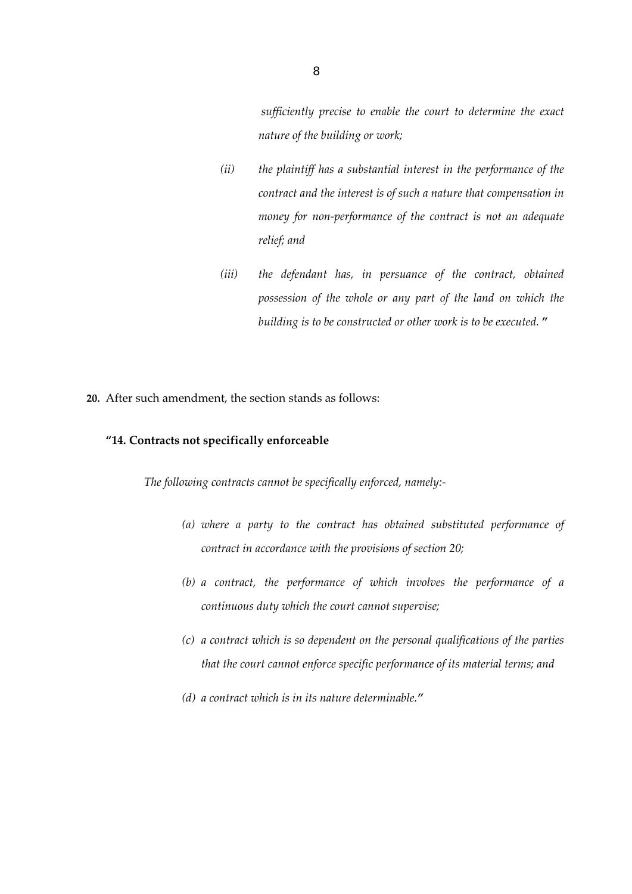*sufficiently precise to enable the court to determine the exact nature of the building or work;*

- *(ii) the plaintiff has a substantial interest in the performance of the contract and the interest is of such a nature that compensation in money for non‐performance of the contract is not an adequate relief; and*
- *(iii) the defendant has, in persuance of the contract, obtained possession of the whole or any part of the land on which the building is to be constructed or other work is to be executed.* **"**
- **20.** After such amendment, the section stands as follows:

### **"14. Contracts not specifically enforceable**

*The following contracts cannot be specifically enforced, namely:‐*

- *(a) where a party to the contract has obtained substituted performance of contract in accordance with the provisions of section 20;*
- *(b) a contract, the performance of which involves the performance of a continuous duty which the court cannot supervise;*
- *(c) a contract which is so dependent on the personal qualifications of the parties that the court cannot enforce specific performance of its material terms; and*
- *(d) a contract which is in its nature determinable."*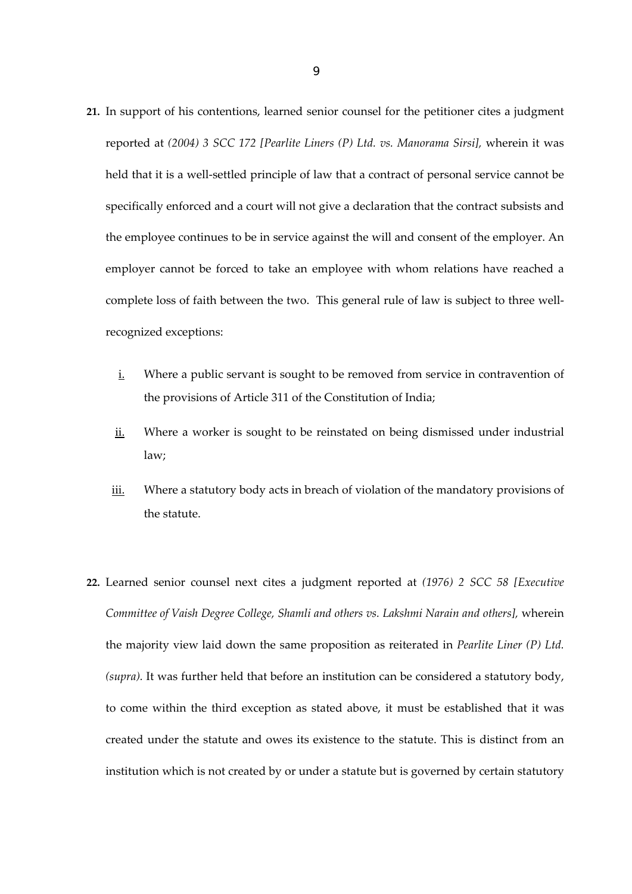- **21.** In support of his contentions, learned senior counsel for the petitioner cites a judgment reported at *(2004) 3 SCC 172 [Pearlite Liners (P) Ltd. vs. Manorama Sirsi],* wherein it was held that it is a well-settled principle of law that a contract of personal service cannot be specifically enforced and a court will not give a declaration that the contract subsists and the employee continues to be in service against the will and consent of the employer. An employer cannot be forced to take an employee with whom relations have reached a complete loss of faith between the two. This general rule of law is subject to three wellrecognized exceptions:
	- $i$ . Where a public servant is sought to be removed from service in contravention of the provisions of Article 311 of the Constitution of India;
	- ii. Where a worker is sought to be reinstated on being dismissed under industrial law;
	- iii. Where a statutory body acts in breach of violation of the mandatory provisions of the statute.
- **22.** Learned senior counsel next cites a judgment reported at *(1976) 2 SCC 58 [Executive Committee of Vaish Degree College, Shamli and others vs. Lakshmi Narain and others],* wherein the majority view laid down the same proposition as reiterated in *Pearlite Liner (P) Ltd. (supra).* It was further held that before an institution can be considered a statutory body, to come within the third exception as stated above, it must be established that it was created under the statute and owes its existence to the statute. This is distinct from an institution which is not created by or under a statute but is governed by certain statutory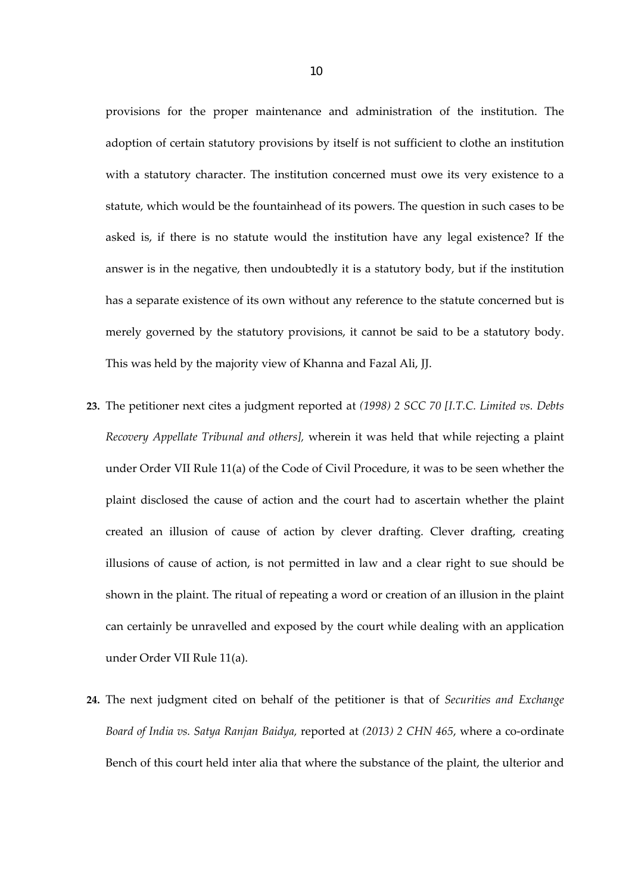provisions for the proper maintenance and administration of the institution. The adoption of certain statutory provisions by itself is not sufficient to clothe an institution with a statutory character. The institution concerned must owe its very existence to a statute, which would be the fountainhead of its powers. The question in such cases to be asked is, if there is no statute would the institution have any legal existence? If the answer is in the negative, then undoubtedly it is a statutory body, but if the institution has a separate existence of its own without any reference to the statute concerned but is merely governed by the statutory provisions, it cannot be said to be a statutory body. This was held by the majority view of Khanna and Fazal Ali, JJ.

- **23.** The petitioner next cites a judgment reported at *(1998) 2 SCC 70 [I.T.C. Limited vs. Debts Recovery Appellate Tribunal and others],* wherein it was held that while rejecting a plaint under Order VII Rule 11(a) of the Code of Civil Procedure, it was to be seen whether the plaint disclosed the cause of action and the court had to ascertain whether the plaint created an illusion of cause of action by clever drafting. Clever drafting, creating illusions of cause of action, is not permitted in law and a clear right to sue should be shown in the plaint. The ritual of repeating a word or creation of an illusion in the plaint can certainly be unravelled and exposed by the court while dealing with an application under Order VII Rule 11(a).
- **24.** The next judgment cited on behalf of the petitioner is that of *Securities and Exchange Board of India vs. Satya Ranjan Baidya,* reported at *(2013) 2 CHN 465*, where a co‐ordinate Bench of this court held inter alia that where the substance of the plaint, the ulterior and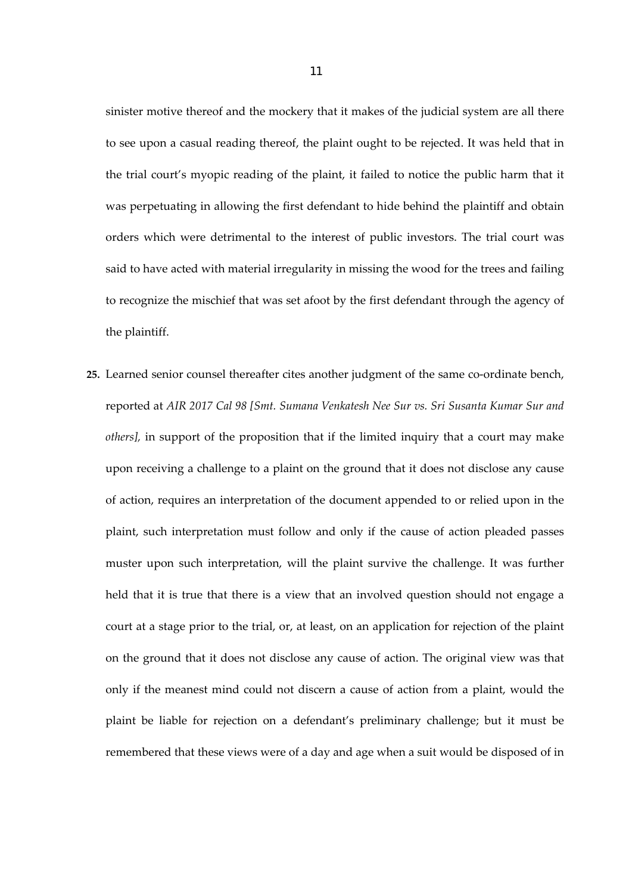sinister motive thereof and the mockery that it makes of the judicial system are all there to see upon a casual reading thereof, the plaint ought to be rejected. It was held that in the trial court's myopic reading of the plaint, it failed to notice the public harm that it was perpetuating in allowing the first defendant to hide behind the plaintiff and obtain orders which were detrimental to the interest of public investors. The trial court was said to have acted with material irregularity in missing the wood for the trees and failing to recognize the mischief that was set afoot by the first defendant through the agency of the plaintiff.

25. Learned senior counsel thereafter cites another judgment of the same co-ordinate bench, reported at *AIR 2017 Cal 98 [Smt. Sumana Venkatesh Nee Sur vs. Sri Susanta Kumar Sur and others],* in support of the proposition that if the limited inquiry that a court may make upon receiving a challenge to a plaint on the ground that it does not disclose any cause of action, requires an interpretation of the document appended to or relied upon in the plaint, such interpretation must follow and only if the cause of action pleaded passes muster upon such interpretation, will the plaint survive the challenge. It was further held that it is true that there is a view that an involved question should not engage a court at a stage prior to the trial, or, at least, on an application for rejection of the plaint on the ground that it does not disclose any cause of action. The original view was that only if the meanest mind could not discern a cause of action from a plaint, would the plaint be liable for rejection on a defendant's preliminary challenge; but it must be remembered that these views were of a day and age when a suit would be disposed of in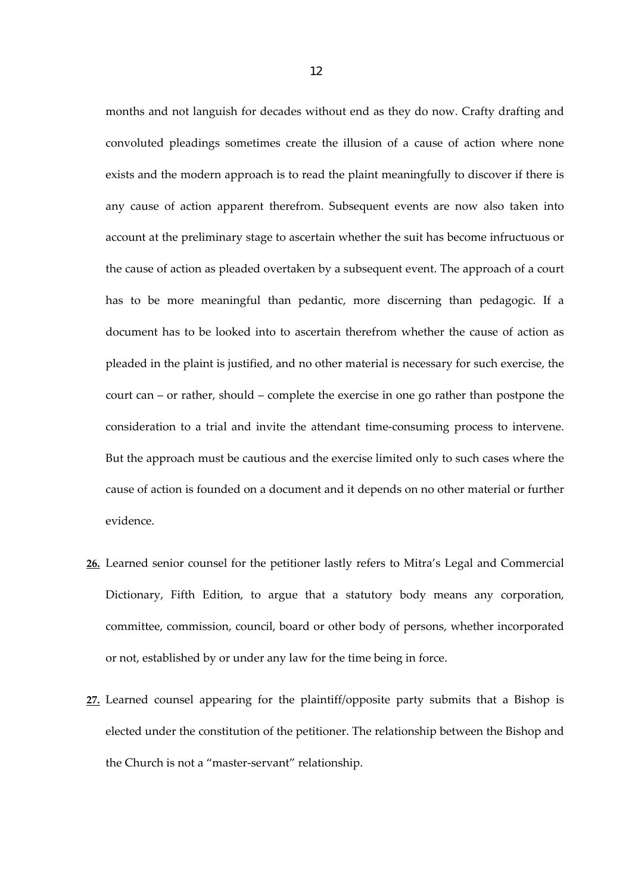months and not languish for decades without end as they do now. Crafty drafting and convoluted pleadings sometimes create the illusion of a cause of action where none exists and the modern approach is to read the plaint meaningfully to discover if there is any cause of action apparent therefrom. Subsequent events are now also taken into account at the preliminary stage to ascertain whether the suit has become infructuous or the cause of action as pleaded overtaken by a subsequent event. The approach of a court has to be more meaningful than pedantic, more discerning than pedagogic. If a document has to be looked into to ascertain therefrom whether the cause of action as pleaded in the plaint is justified, and no other material is necessary for such exercise, the court can – or rather, should – complete the exercise in one go rather than postpone the consideration to a trial and invite the attendant time‐consuming process to intervene. But the approach must be cautious and the exercise limited only to such cases where the cause of action is founded on a document and it depends on no other material or further evidence.

- **26.** Learned senior counsel for the petitioner lastly refers to Mitra's Legal and Commercial Dictionary, Fifth Edition, to argue that a statutory body means any corporation, committee, commission, council, board or other body of persons, whether incorporated or not, established by or under any law for the time being in force.
- **27.** Learned counsel appearing for the plaintiff/opposite party submits that a Bishop is elected under the constitution of the petitioner. The relationship between the Bishop and the Church is not a "master‐servant" relationship.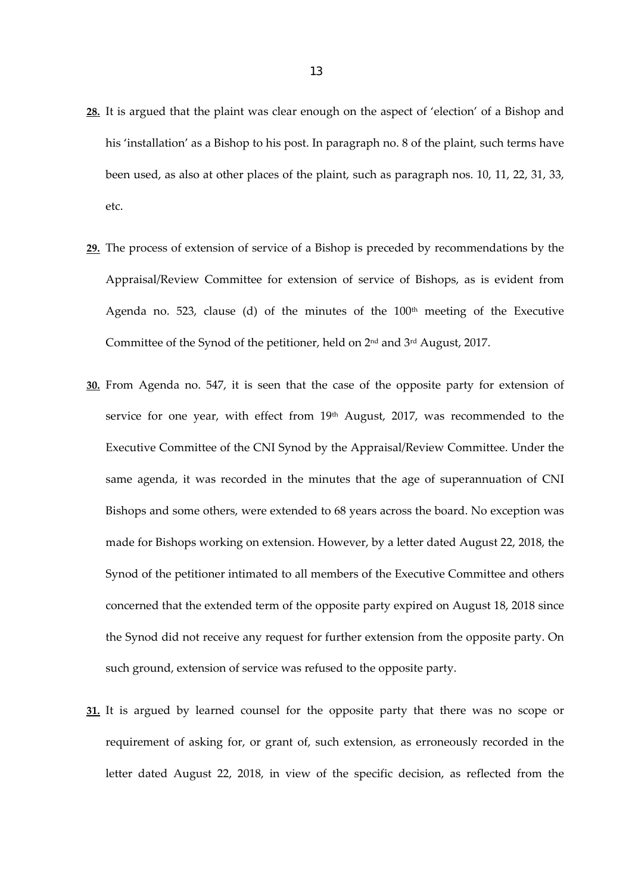- **28.** It is argued that the plaint was clear enough on the aspect of 'election' of a Bishop and his 'installation' as a Bishop to his post. In paragraph no. 8 of the plaint, such terms have been used, as also at other places of the plaint, such as paragraph nos. 10, 11, 22, 31, 33, etc.
- **29.** The process of extension of service of a Bishop is preceded by recommendations by the Appraisal/Review Committee for extension of service of Bishops, as is evident from Agenda no. 523, clause (d) of the minutes of the  $100<sup>th</sup>$  meeting of the Executive Committee of the Synod of the petitioner, held on 2nd and 3rd August, 2017.
- **30.** From Agenda no. 547, it is seen that the case of the opposite party for extension of service for one year, with effect from 19th August, 2017, was recommended to the Executive Committee of the CNI Synod by the Appraisal/Review Committee. Under the same agenda, it was recorded in the minutes that the age of superannuation of CNI Bishops and some others, were extended to 68 years across the board. No exception was made for Bishops working on extension. However, by a letter dated August 22, 2018, the Synod of the petitioner intimated to all members of the Executive Committee and others concerned that the extended term of the opposite party expired on August 18, 2018 since the Synod did not receive any request for further extension from the opposite party. On such ground, extension of service was refused to the opposite party.
- **31.** It is argued by learned counsel for the opposite party that there was no scope or requirement of asking for, or grant of, such extension, as erroneously recorded in the letter dated August 22, 2018, in view of the specific decision, as reflected from the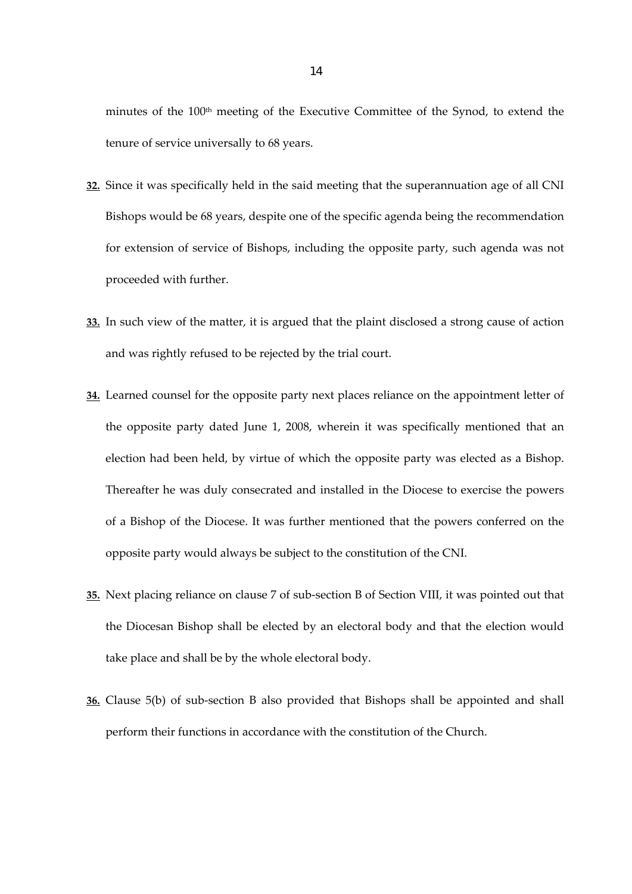minutes of the 100<sup>th</sup> meeting of the Executive Committee of the Synod, to extend the tenure of service universally to 68 years.

- **32.** Since it was specifically held in the said meeting that the superannuation age of all CNI Bishops would be 68 years, despite one of the specific agenda being the recommendation for extension of service of Bishops, including the opposite party, such agenda was not proceeded with further.
- **33.** In such view of the matter, it is argued that the plaint disclosed a strong cause of action and was rightly refused to be rejected by the trial court.
- **34.** Learned counsel for the opposite party next places reliance on the appointment letter of the opposite party dated June 1, 2008, wherein it was specifically mentioned that an election had been held, by virtue of which the opposite party was elected as a Bishop. Thereafter he was duly consecrated and installed in the Diocese to exercise the powers of a Bishop of the Diocese. It was further mentioned that the powers conferred on the opposite party would always be subject to the constitution of the CNI.
- **35.** Next placing reliance on clause 7 of sub‐section B of Section VIII, it was pointed out that the Diocesan Bishop shall be elected by an electoral body and that the election would take place and shall be by the whole electoral body.
- **36.** Clause 5(b) of sub‐section B also provided that Bishops shall be appointed and shall perform their functions in accordance with the constitution of the Church.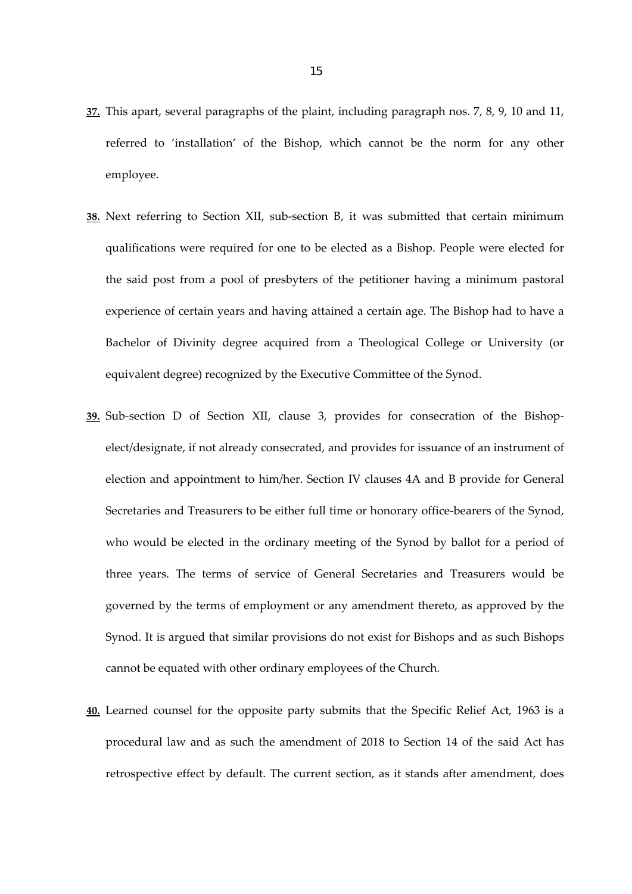- **37.** This apart, several paragraphs of the plaint, including paragraph nos. 7, 8, 9, 10 and 11, referred to 'installation' of the Bishop, which cannot be the norm for any other employee.
- **38.** Next referring to Section XII, sub-section B, it was submitted that certain minimum qualifications were required for one to be elected as a Bishop. People were elected for the said post from a pool of presbyters of the petitioner having a minimum pastoral experience of certain years and having attained a certain age. The Bishop had to have a Bachelor of Divinity degree acquired from a Theological College or University (or equivalent degree) recognized by the Executive Committee of the Synod.
- 39. Sub-section D of Section XII, clause 3, provides for consecration of the Bishopelect/designate, if not already consecrated, and provides for issuance of an instrument of election and appointment to him/her. Section IV clauses 4A and B provide for General Secretaries and Treasurers to be either full time or honorary office-bearers of the Synod, who would be elected in the ordinary meeting of the Synod by ballot for a period of three years. The terms of service of General Secretaries and Treasurers would be governed by the terms of employment or any amendment thereto, as approved by the Synod. It is argued that similar provisions do not exist for Bishops and as such Bishops cannot be equated with other ordinary employees of the Church.
- **40.** Learned counsel for the opposite party submits that the Specific Relief Act, 1963 is a procedural law and as such the amendment of 2018 to Section 14 of the said Act has retrospective effect by default. The current section, as it stands after amendment, does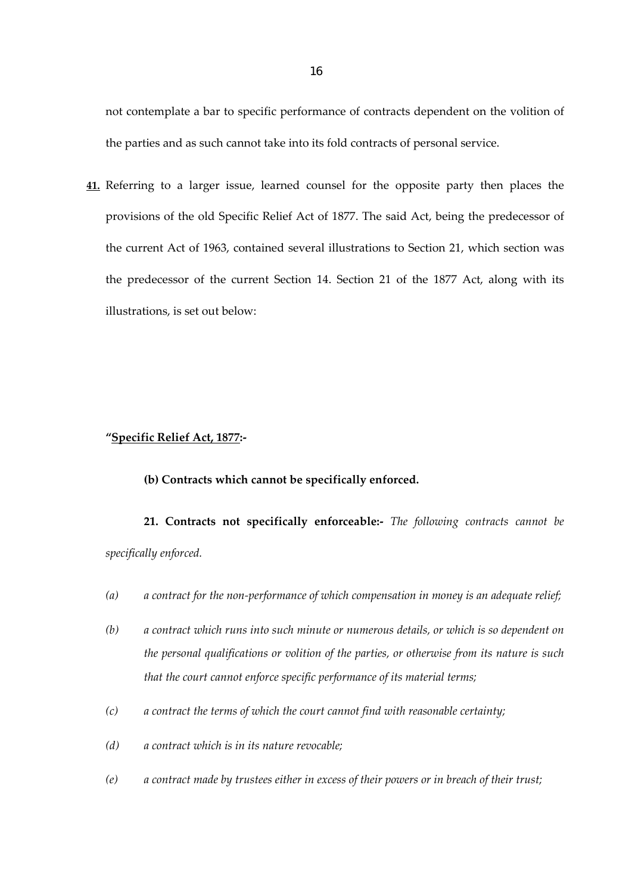not contemplate a bar to specific performance of contracts dependent on the volition of the parties and as such cannot take into its fold contracts of personal service.

**41.** Referring to a larger issue, learned counsel for the opposite party then places the provisions of the old Specific Relief Act of 1877. The said Act, being the predecessor of the current Act of 1963, contained several illustrations to Section 21, which section was the predecessor of the current Section 14. Section 21 of the 1877 Act, along with its illustrations, is set out below:

### **"Specific Relief Act, 1877:‐**

#### **(b) Contracts which cannot be specifically enforced.**

**21. Contracts not specifically enforceable:‐**  *The following contracts cannot be specifically enforced.*

- *(a) a contract for the non‐performance of which compensation in money is an adequate relief;*
- *(b) a contract which runs into such minute or numerous details, or which is so dependent on the personal qualifications or volition of the parties, or otherwise from its nature is such that the court cannot enforce specific performance of its material terms;*
- *(c) a contract the terms of which the court cannot find with reasonable certainty;*
- *(d) a contract which is in its nature revocable;*
- *(e) a contract made by trustees either in excess of their powers or in breach of their trust;*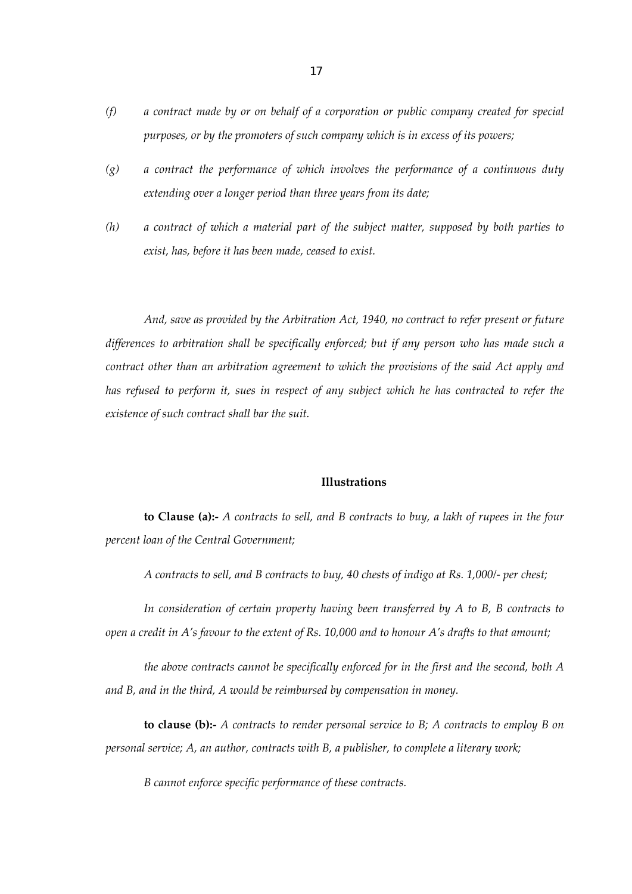- *(f) a contract made by or on behalf of a corporation or public company created for special purposes, or by the promoters of such company which is in excess of its powers;*
- *(g) a contract the performance of which involves the performance of a continuous duty extending over a longer period than three years from its date;*
- *(h) a contract of which a material part of the subject matter, supposed by both parties to exist, has, before it has been made, ceased to exist.*

*And, save as provided by the Arbitration Act, 1940, no contract to refer present or future differences to arbitration shall be specifically enforced; but if any person who has made such a contract other than an arbitration agreement to which the provisions of the said Act apply and has refused to perform it, sues in respect of any subject which he has contracted to refer the existence of such contract shall bar the suit.*

#### **Illustrations**

to Clause (a):- A contracts to sell, and B contracts to buy, a lakh of rupees in the four *percent loan of the Central Government;*

*A contracts to sell, and B contracts to buy, 40 chests of indigo at Rs. 1,000/‐ per chest;*

*In consideration of certain property having been transferred by A to B, B contracts to* open a credit in A's favour to the extent of Rs. 10,000 and to honour A's drafts to that amount;

*the above contracts cannot be specifically enforced for in the first and the second, both A and B, and in the third, A would be reimbursed by compensation in money.*

**to clause (b):‐** *A contracts to render personal service to B; A contracts to employ B on personal service; A, an author, contracts with B, a publisher, to complete a literary work;*

*B cannot enforce specific performance of these contracts.*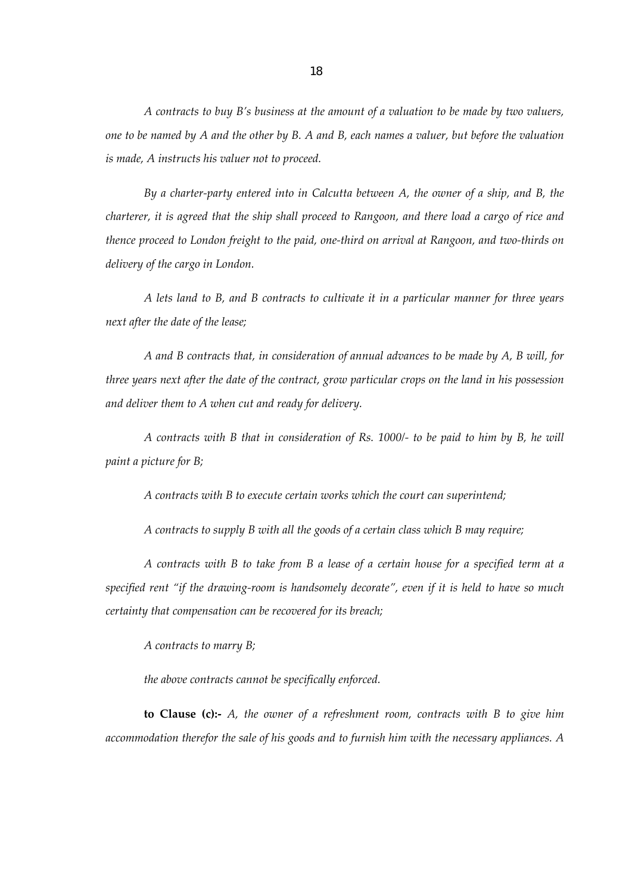*A contracts to buy B's business at the amount of a valuation to be made by two valuers,* one to be named by A and the other by B. A and B, each names a valuer, but before the valuation *is made, A instructs his valuer not to proceed.*

*By a charter‐party entered into in Calcutta between A, the owner of a ship, and B, the* charterer, it is agreed that the ship shall proceed to Rangoon, and there load a cargo of rice and thence proceed to London freight to the paid, one-third on arrival at Rangoon, and two-thirds on *delivery of the cargo in London.*

*A lets land to B, and B contracts to cultivate it in a particular manner for three years next after the date of the lease;*

*A and B contracts that, in consideration of annual advances to be made by A, B will, for* three years next after the date of the contract, grow particular crops on the land in his possession *and deliver them to A when cut and ready for delivery.*

A contracts with B that in consideration of Rs. 1000/- to be paid to him by B, he will *paint a picture for B;*

*A contracts with B to execute certain works which the court can superintend;*

*A contracts to supply B with all the goods of a certain class which B may require;*

A contracts with B to take from B a lease of a certain house for a specified term at a specified rent "if the drawing-room is handsomely decorate", even if it is held to have so much *certainty that compensation can be recovered for its breach;*

*A contracts to marry B;*

*the above contracts cannot be specifically enforced.*

**to Clause (c):‐**  *A, the owner of a refreshment room, contracts with B to give him accommodation therefor the sale of his goods and to furnish him with the necessary appliances. A*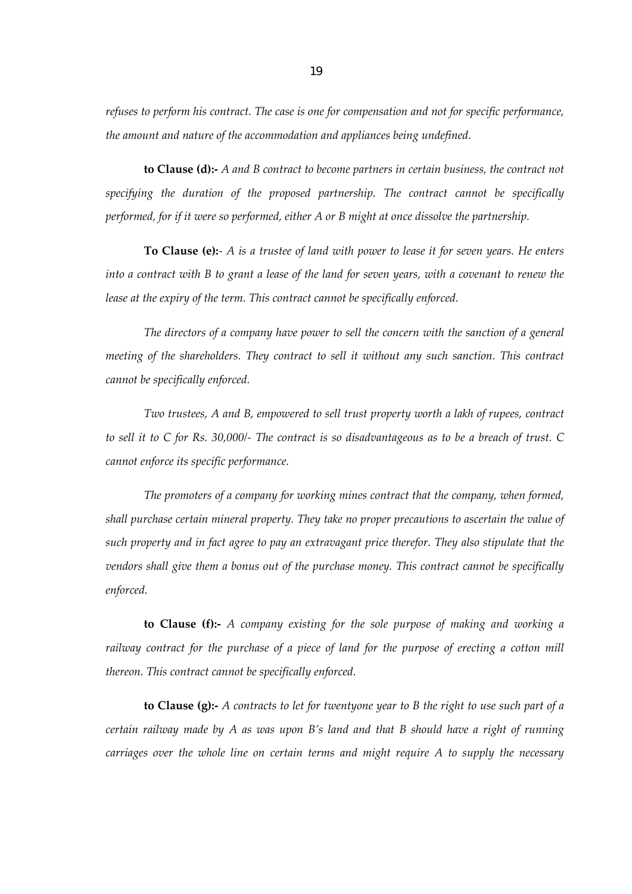*refuses to perform his contract. The case is one for compensation and not for specific performance, the amount and nature of the accommodation and appliances being undefined.*

**to Clause (d):‐** *A and B contract to become partners in certain business, the contract not specifying the duration of the proposed partnership. The contract cannot be specifically performed, for if it were so performed, either A or B might at once dissolve the partnership.*

To Clause (e):- A is a trustee of land with power to lease it for seven years. He enters into a contract with B to grant a lease of the land for seven years, with a covenant to renew the *lease at the expiry of the term. This contract cannot be specifically enforced.*

*The directors of a company have power to sell the concern with the sanction of a general meeting of the shareholders. They contract to sell it without any such sanction. This contract cannot be specifically enforced.*

*Two trustees, A and B, empowered to sell trust property worth a lakh of rupees, contract* to sell it to  $C$  for Rs. 30,000/- The contract is so disadvantageous as to be a breach of trust.  $C$ *cannot enforce its specific performance.*

*The promoters of a company for working mines contract that the company, when formed, shall purchase certain mineral property. They take no proper precautions to ascertain the value of such property and in fact agree to pay an extravagant price therefor. They also stipulate that the vendors shall give them a bonus out of the purchase money. This contract cannot be specifically enforced.*

**to Clause (f):‐**  *A company existing for the sole purpose of making and working a railway contract for the purchase of a piece of land for the purpose of erecting a cotton mill thereon. This contract cannot be specifically enforced.*

to Clause (g):- A contracts to let for twentyone year to B the right to use such part of a *certain railway made by A as was upon B's land and that B should have a right of running carriages over the whole line on certain terms and might require A to supply the necessary*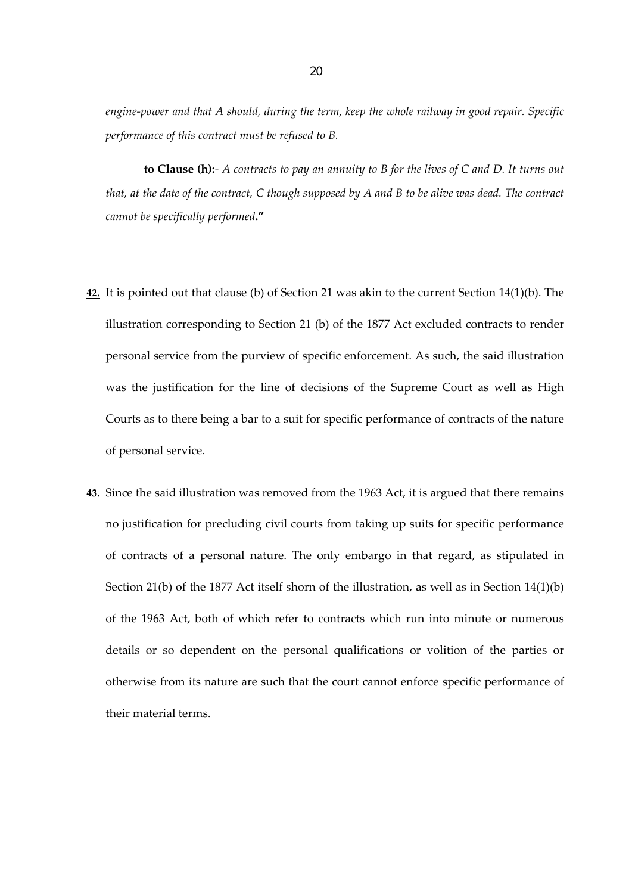*engine‐power and that A should, during the term, keep the whole railway in good repair. Specific performance of this contract must be refused to B.*

to Clause (h):- A contracts to pay an annuity to B for the lives of  $C$  and  $D$ . It turns out that, at the date of the contract, C though supposed by A and B to be alive was dead. The contract *cannot be specifically performed***."**

- **42.** It is pointed out that clause (b) of Section 21 was akin to the current Section 14(1)(b). The illustration corresponding to Section 21 (b) of the 1877 Act excluded contracts to render personal service from the purview of specific enforcement. As such, the said illustration was the justification for the line of decisions of the Supreme Court as well as High Courts as to there being a bar to a suit for specific performance of contracts of the nature of personal service.
- **43.** Since the said illustration was removed from the 1963 Act, it is argued that there remains no justification for precluding civil courts from taking up suits for specific performance of contracts of a personal nature. The only embargo in that regard, as stipulated in Section 21(b) of the 1877 Act itself shorn of the illustration, as well as in Section 14(1)(b) of the 1963 Act, both of which refer to contracts which run into minute or numerous details or so dependent on the personal qualifications or volition of the parties or otherwise from its nature are such that the court cannot enforce specific performance of their material terms.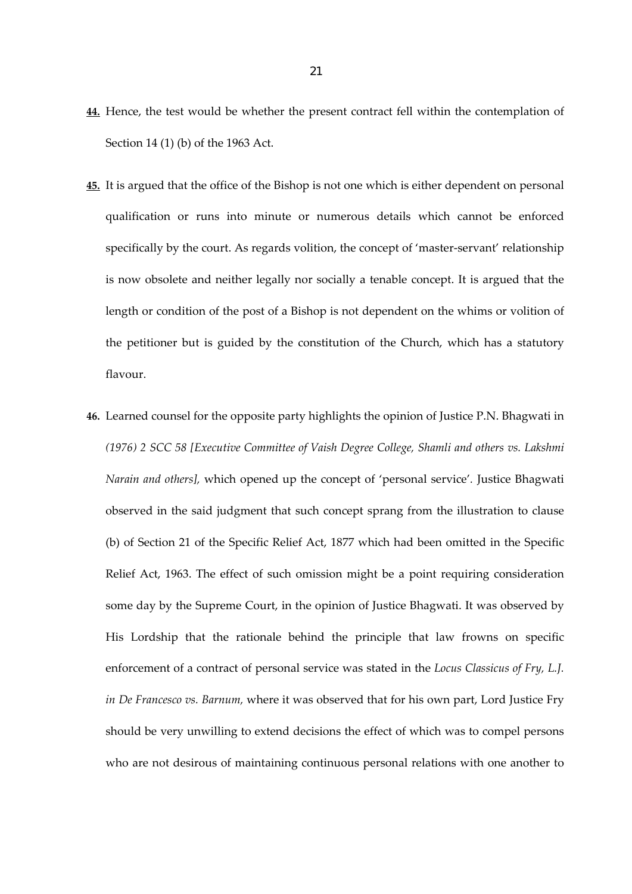- **44.** Hence, the test would be whether the present contract fell within the contemplation of Section 14 (1) (b) of the 1963 Act.
- **45.** It is argued that the office of the Bishop is not one which is either dependent on personal qualification or runs into minute or numerous details which cannot be enforced specifically by the court. As regards volition, the concept of 'master-servant' relationship is now obsolete and neither legally nor socially a tenable concept. It is argued that the length or condition of the post of a Bishop is not dependent on the whims or volition of the petitioner but is guided by the constitution of the Church, which has a statutory flavour.
- **46.** Learned counsel for the opposite party highlights the opinion of Justice P.N. Bhagwati in *(1976) 2 SCC 58 [Executive Committee of Vaish Degree College, Shamli and others vs. Lakshmi Narain and others],* which opened up the concept of 'personal service'*.* Justice Bhagwati observed in the said judgment that such concept sprang from the illustration to clause (b) of Section 21 of the Specific Relief Act, 1877 which had been omitted in the Specific Relief Act, 1963. The effect of such omission might be a point requiring consideration some day by the Supreme Court, in the opinion of Justice Bhagwati. It was observed by His Lordship that the rationale behind the principle that law frowns on specific enforcement of a contract of personal service was stated in the *Locus Classicus of Fry, L.J. in De Francesco vs. Barnum,* where it was observed that for his own part, Lord Justice Fry should be very unwilling to extend decisions the effect of which was to compel persons who are not desirous of maintaining continuous personal relations with one another to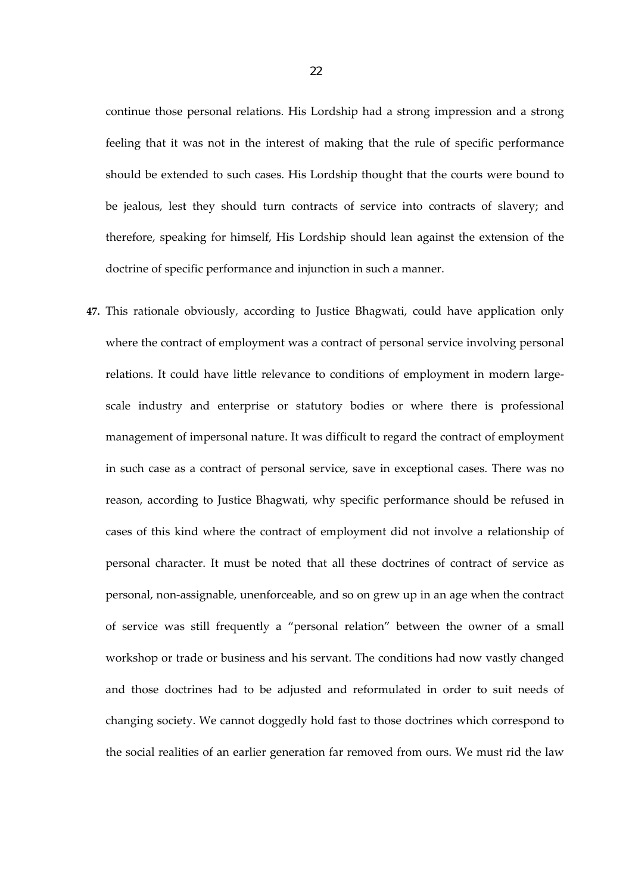continue those personal relations. His Lordship had a strong impression and a strong feeling that it was not in the interest of making that the rule of specific performance should be extended to such cases. His Lordship thought that the courts were bound to be jealous, lest they should turn contracts of service into contracts of slavery; and therefore, speaking for himself, His Lordship should lean against the extension of the doctrine of specific performance and injunction in such a manner.

**47.** This rationale obviously, according to Justice Bhagwati, could have application only where the contract of employment was a contract of personal service involving personal relations. It could have little relevance to conditions of employment in modern largescale industry and enterprise or statutory bodies or where there is professional management of impersonal nature. It was difficult to regard the contract of employment in such case as a contract of personal service, save in exceptional cases. There was no reason, according to Justice Bhagwati, why specific performance should be refused in cases of this kind where the contract of employment did not involve a relationship of personal character. It must be noted that all these doctrines of contract of service as personal, non‐assignable, unenforceable, and so on grew up in an age when the contract of service was still frequently a "personal relation" between the owner of a small workshop or trade or business and his servant. The conditions had now vastly changed and those doctrines had to be adjusted and reformulated in order to suit needs of changing society. We cannot doggedly hold fast to those doctrines which correspond to the social realities of an earlier generation far removed from ours. We must rid the law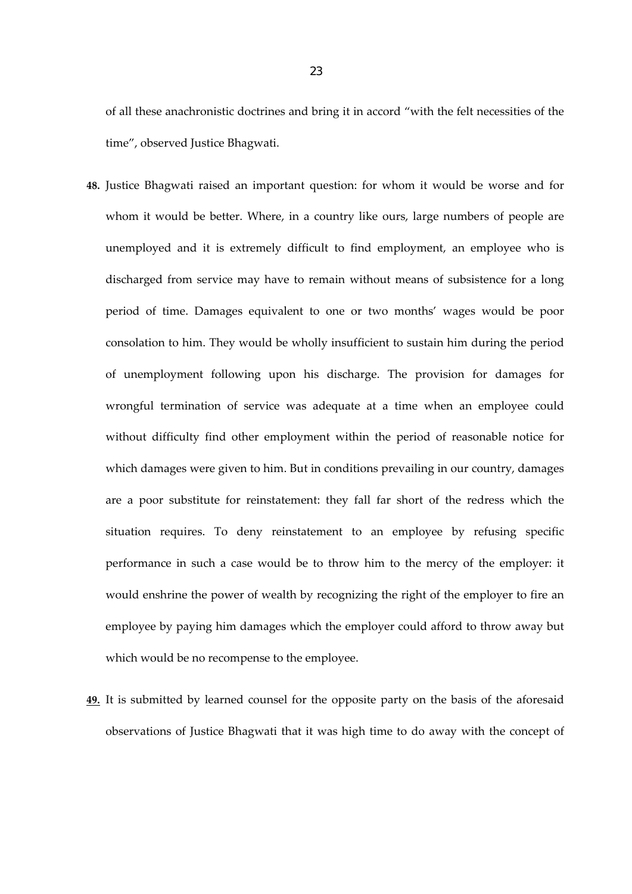of all these anachronistic doctrines and bring it in accord "with the felt necessities of the time", observed Justice Bhagwati.

- **48.** Justice Bhagwati raised an important question: for whom it would be worse and for whom it would be better. Where, in a country like ours, large numbers of people are unemployed and it is extremely difficult to find employment, an employee who is discharged from service may have to remain without means of subsistence for a long period of time. Damages equivalent to one or two months' wages would be poor consolation to him. They would be wholly insufficient to sustain him during the period of unemployment following upon his discharge. The provision for damages for wrongful termination of service was adequate at a time when an employee could without difficulty find other employment within the period of reasonable notice for which damages were given to him. But in conditions prevailing in our country, damages are a poor substitute for reinstatement: they fall far short of the redress which the situation requires. To deny reinstatement to an employee by refusing specific performance in such a case would be to throw him to the mercy of the employer: it would enshrine the power of wealth by recognizing the right of the employer to fire an employee by paying him damages which the employer could afford to throw away but which would be no recompense to the employee.
- **49.** It is submitted by learned counsel for the opposite party on the basis of the aforesaid observations of Justice Bhagwati that it was high time to do away with the concept of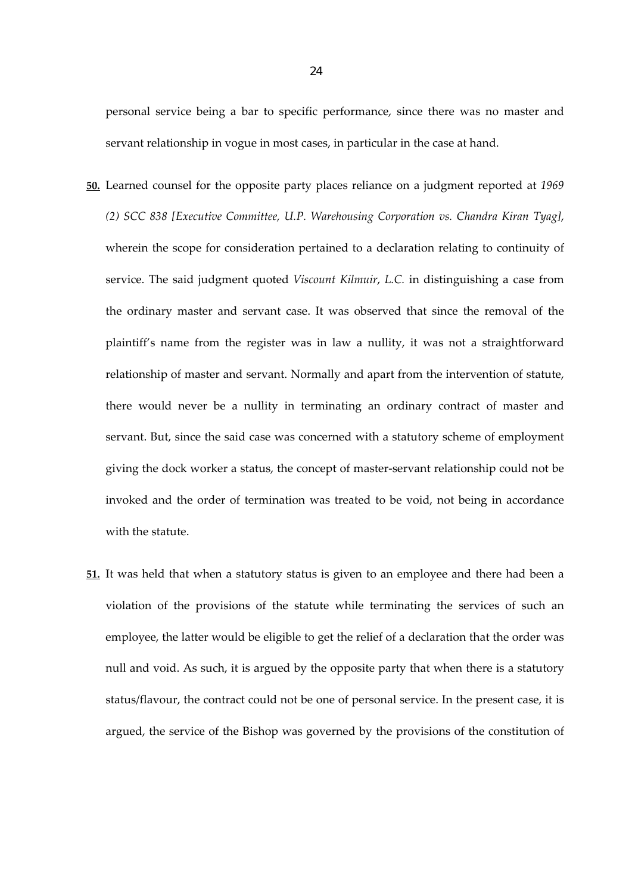personal service being a bar to specific performance, since there was no master and servant relationship in vogue in most cases, in particular in the case at hand.

- **50.** Learned counsel for the opposite party places reliance on a judgment reported at *1969 (2) SCC 838 [Executive Committee, U.P. Warehousing Corporation vs. Chandra Kiran Tyag]*, wherein the scope for consideration pertained to a declaration relating to continuity of service. The said judgment quoted *Viscount Kilmuir*, *L.C.* in distinguishing a case from the ordinary master and servant case. It was observed that since the removal of the plaintiff's name from the register was in law a nullity, it was not a straightforward relationship of master and servant. Normally and apart from the intervention of statute, there would never be a nullity in terminating an ordinary contract of master and servant. But, since the said case was concerned with a statutory scheme of employment giving the dock worker a status, the concept of master‐servant relationship could not be invoked and the order of termination was treated to be void, not being in accordance with the statute.
- **51.** It was held that when a statutory status is given to an employee and there had been a violation of the provisions of the statute while terminating the services of such an employee, the latter would be eligible to get the relief of a declaration that the order was null and void. As such, it is argued by the opposite party that when there is a statutory status/flavour, the contract could not be one of personal service. In the present case, it is argued, the service of the Bishop was governed by the provisions of the constitution of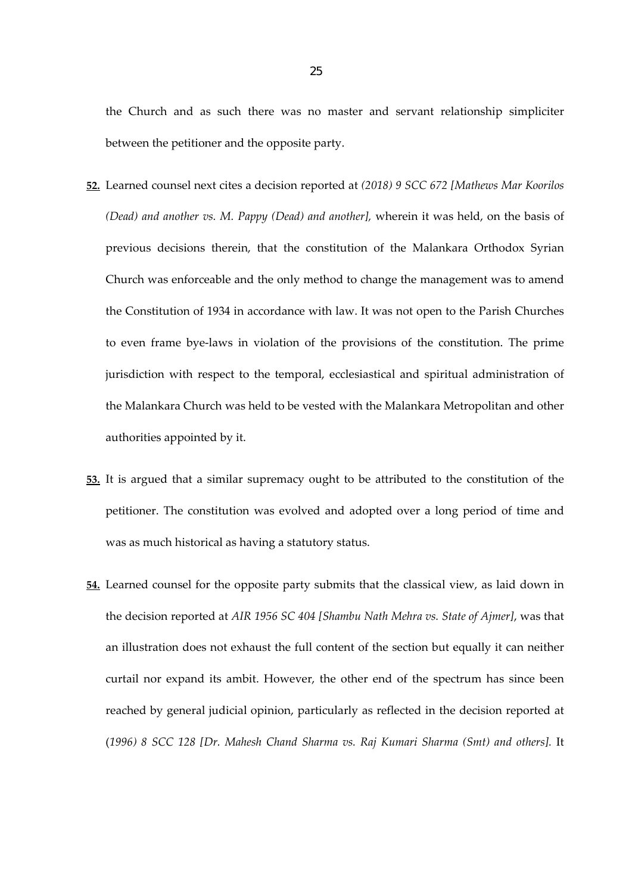the Church and as such there was no master and servant relationship simpliciter between the petitioner and the opposite party.

- **52.** Learned counsel next cites a decision reported at *(2018) 9 SCC 672 [Mathews Mar Koorilos (Dead) and another vs. M. Pappy (Dead) and another],* wherein it was held, on the basis of previous decisions therein, that the constitution of the Malankara Orthodox Syrian Church was enforceable and the only method to change the management was to amend the Constitution of 1934 in accordance with law. It was not open to the Parish Churches to even frame bye‐laws in violation of the provisions of the constitution. The prime jurisdiction with respect to the temporal, ecclesiastical and spiritual administration of the Malankara Church was held to be vested with the Malankara Metropolitan and other authorities appointed by it.
- **53.** It is argued that a similar supremacy ought to be attributed to the constitution of the petitioner. The constitution was evolved and adopted over a long period of time and was as much historical as having a statutory status.
- **54.** Learned counsel for the opposite party submits that the classical view, as laid down in the decision reported at *AIR 1956 SC 404 [Shambu Nath Mehra vs. State of Ajmer]*, was that an illustration does not exhaust the full content of the section but equally it can neither curtail nor expand its ambit. However, the other end of the spectrum has since been reached by general judicial opinion, particularly as reflected in the decision reported at (*1996) 8 SCC 128 [Dr. Mahesh Chand Sharma vs. Raj Kumari Sharma (Smt) and others].* It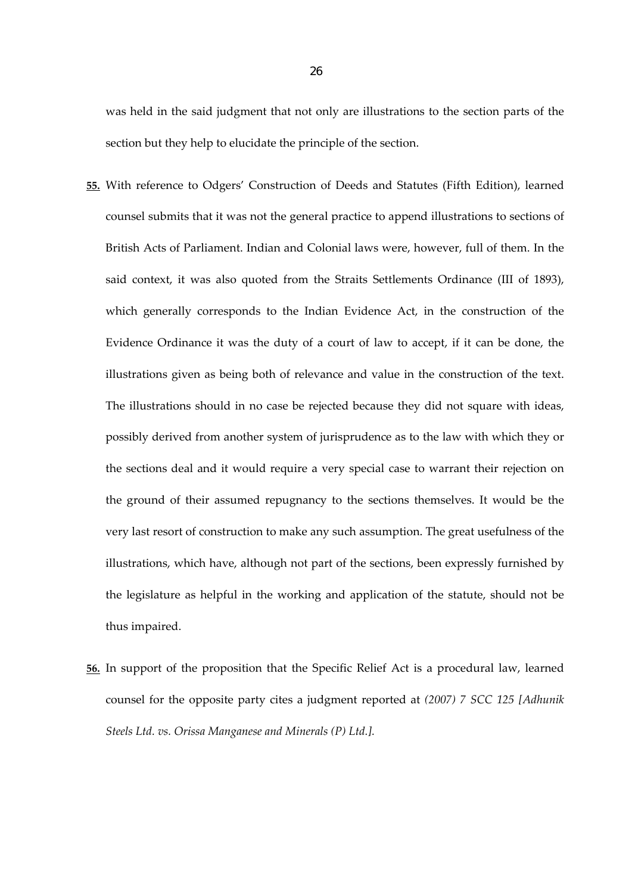was held in the said judgment that not only are illustrations to the section parts of the section but they help to elucidate the principle of the section.

- **55.** With reference to Odgers' Construction of Deeds and Statutes (Fifth Edition), learned counsel submits that it was not the general practice to append illustrations to sections of British Acts of Parliament. Indian and Colonial laws were, however, full of them. In the said context, it was also quoted from the Straits Settlements Ordinance (III of 1893), which generally corresponds to the Indian Evidence Act, in the construction of the Evidence Ordinance it was the duty of a court of law to accept, if it can be done, the illustrations given as being both of relevance and value in the construction of the text. The illustrations should in no case be rejected because they did not square with ideas, possibly derived from another system of jurisprudence as to the law with which they or the sections deal and it would require a very special case to warrant their rejection on the ground of their assumed repugnancy to the sections themselves. It would be the very last resort of construction to make any such assumption. The great usefulness of the illustrations, which have, although not part of the sections, been expressly furnished by the legislature as helpful in the working and application of the statute, should not be thus impaired.
- **56.** In support of the proposition that the Specific Relief Act is a procedural law, learned counsel for the opposite party cites a judgment reported at *(2007) 7 SCC 125 [Adhunik Steels Ltd. vs. Orissa Manganese and Minerals (P) Ltd.].*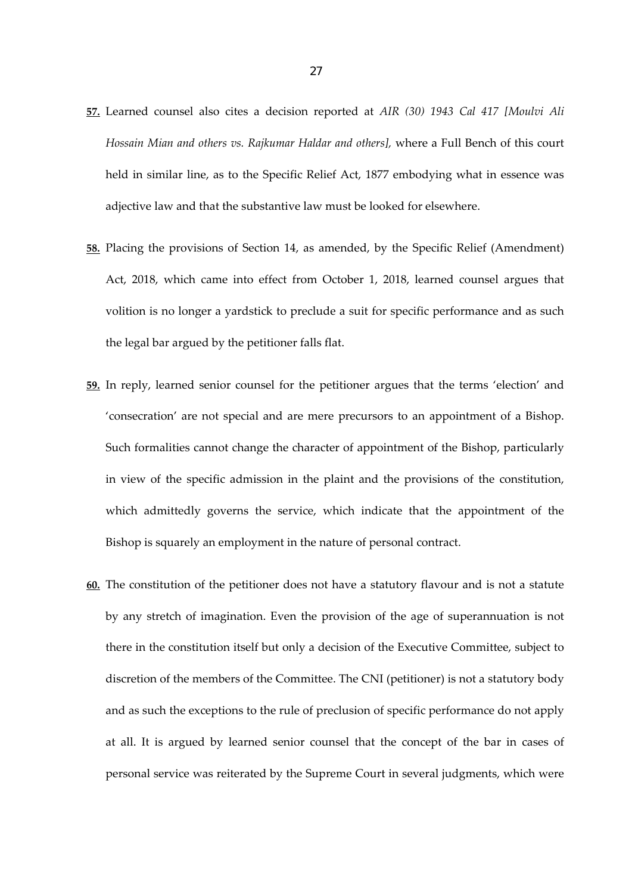- **57.** Learned counsel also cites a decision reported at *AIR (30) 1943 Cal 417 [Moulvi Ali Hossain Mian and others vs. Rajkumar Haldar and others],* where a Full Bench of this court held in similar line, as to the Specific Relief Act, 1877 embodying what in essence was adjective law and that the substantive law must be looked for elsewhere.
- **58.** Placing the provisions of Section 14, as amended, by the Specific Relief (Amendment) Act, 2018, which came into effect from October 1, 2018, learned counsel argues that volition is no longer a yardstick to preclude a suit for specific performance and as such the legal bar argued by the petitioner falls flat.
- **59.** In reply, learned senior counsel for the petitioner argues that the terms 'election' and 'consecration' are not special and are mere precursors to an appointment of a Bishop. Such formalities cannot change the character of appointment of the Bishop, particularly in view of the specific admission in the plaint and the provisions of the constitution, which admittedly governs the service, which indicate that the appointment of the Bishop is squarely an employment in the nature of personal contract.
- **60.** The constitution of the petitioner does not have a statutory flavour and is not a statute by any stretch of imagination. Even the provision of the age of superannuation is not there in the constitution itself but only a decision of the Executive Committee, subject to discretion of the members of the Committee. The CNI (petitioner) is not a statutory body and as such the exceptions to the rule of preclusion of specific performance do not apply at all. It is argued by learned senior counsel that the concept of the bar in cases of personal service was reiterated by the Supreme Court in several judgments, which were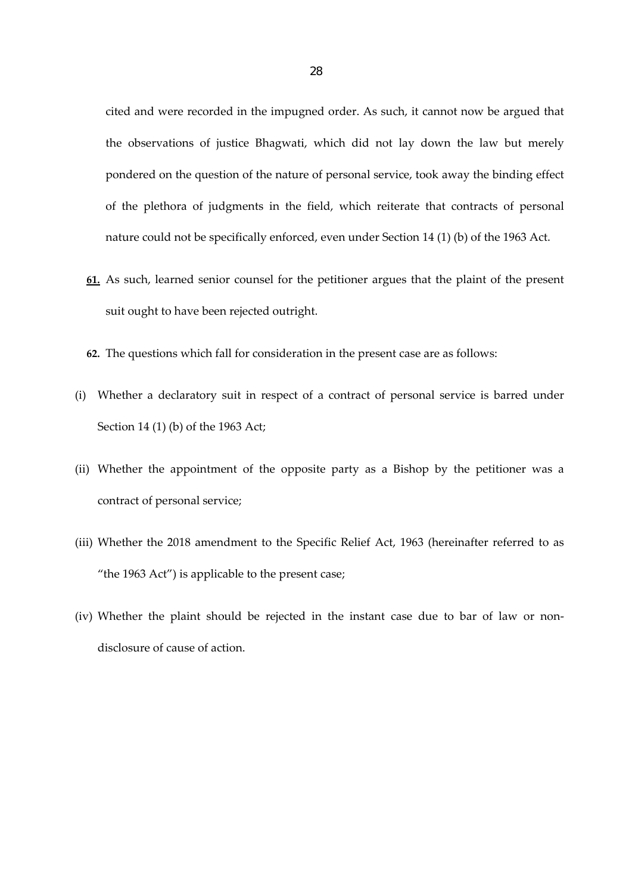cited and were recorded in the impugned order. As such, it cannot now be argued that the observations of justice Bhagwati, which did not lay down the law but merely pondered on the question of the nature of personal service, took away the binding effect of the plethora of judgments in the field, which reiterate that contracts of personal nature could not be specifically enforced, even under Section 14 (1) (b) of the 1963 Act.

- **61.** As such, learned senior counsel for the petitioner argues that the plaint of the present suit ought to have been rejected outright.
- **62.** The questions which fall for consideration in the present case are as follows:
- (i) Whether a declaratory suit in respect of a contract of personal service is barred under Section 14 (1) (b) of the 1963 Act;
- (ii) Whether the appointment of the opposite party as a Bishop by the petitioner was a contract of personal service;
- (iii) Whether the 2018 amendment to the Specific Relief Act, 1963 (hereinafter referred to as "the 1963 Act") is applicable to the present case;
- (iv) Whether the plaint should be rejected in the instant case due to bar of law or nondisclosure of cause of action.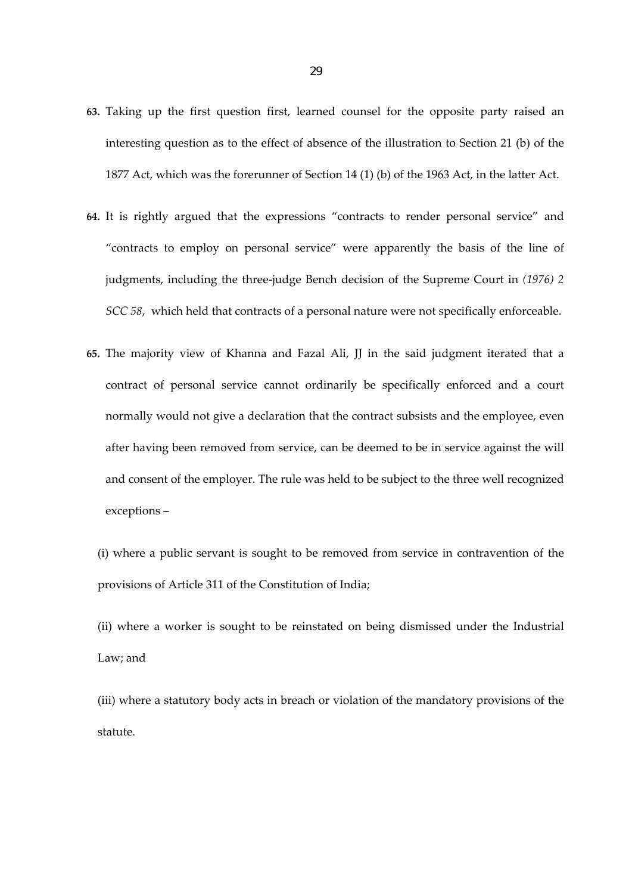- **63.** Taking up the first question first, learned counsel for the opposite party raised an interesting question as to the effect of absence of the illustration to Section 21 (b) of the 1877 Act, which was the forerunner of Section 14 (1) (b) of the 1963 Act, in the latter Act.
- **64.** It is rightly argued that the expressions "contracts to render personal service" and "contracts to employ on personal service" were apparently the basis of the line of judgments, including the three‐judge Bench decision of the Supreme Court in *(1976) 2 SCC 58*, which held that contracts of a personal nature were not specifically enforceable.
- **65.** The majority view of Khanna and Fazal Ali, JJ in the said judgment iterated that a contract of personal service cannot ordinarily be specifically enforced and a court normally would not give a declaration that the contract subsists and the employee, even after having been removed from service, can be deemed to be in service against the will and consent of the employer. The rule was held to be subject to the three well recognized exceptions –

(i) where a public servant is sought to be removed from service in contravention of the provisions of Article 311 of the Constitution of India;

(ii) where a worker is sought to be reinstated on being dismissed under the Industrial Law; and

(iii) where a statutory body acts in breach or violation of the mandatory provisions of the statute.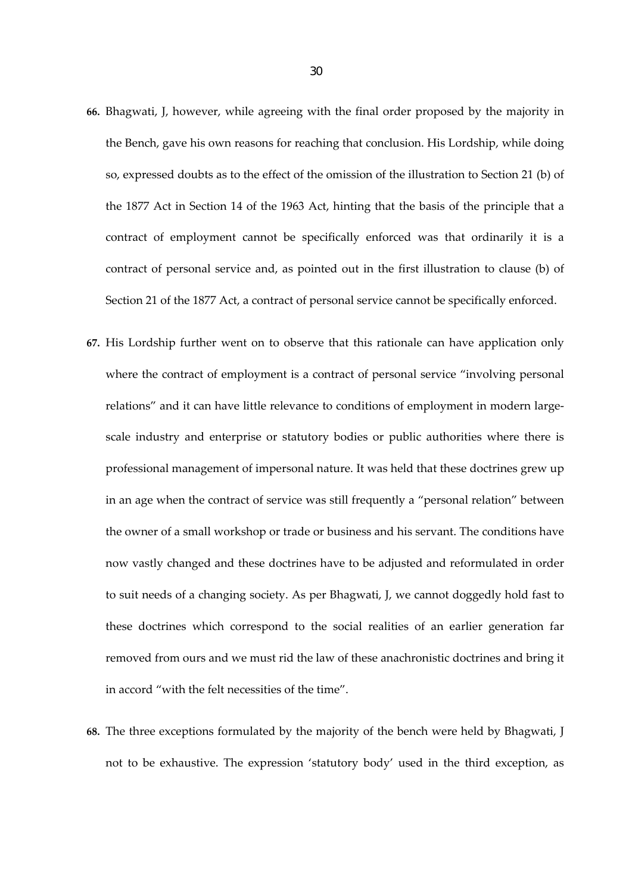- **66.** Bhagwati, J, however, while agreeing with the final order proposed by the majority in the Bench, gave his own reasons for reaching that conclusion. His Lordship, while doing so, expressed doubts as to the effect of the omission of the illustration to Section 21 (b) of the 1877 Act in Section 14 of the 1963 Act, hinting that the basis of the principle that a contract of employment cannot be specifically enforced was that ordinarily it is a contract of personal service and, as pointed out in the first illustration to clause (b) of Section 21 of the 1877 Act, a contract of personal service cannot be specifically enforced.
- **67.** His Lordship further went on to observe that this rationale can have application only where the contract of employment is a contract of personal service "involving personal relations" and it can have little relevance to conditions of employment in modern largescale industry and enterprise or statutory bodies or public authorities where there is professional management of impersonal nature. It was held that these doctrines grew up in an age when the contract of service was still frequently a "personal relation" between the owner of a small workshop or trade or business and his servant. The conditions have now vastly changed and these doctrines have to be adjusted and reformulated in order to suit needs of a changing society. As per Bhagwati, J, we cannot doggedly hold fast to these doctrines which correspond to the social realities of an earlier generation far removed from ours and we must rid the law of these anachronistic doctrines and bring it in accord "with the felt necessities of the time".
- **68.** The three exceptions formulated by the majority of the bench were held by Bhagwati, J not to be exhaustive. The expression 'statutory body' used in the third exception, as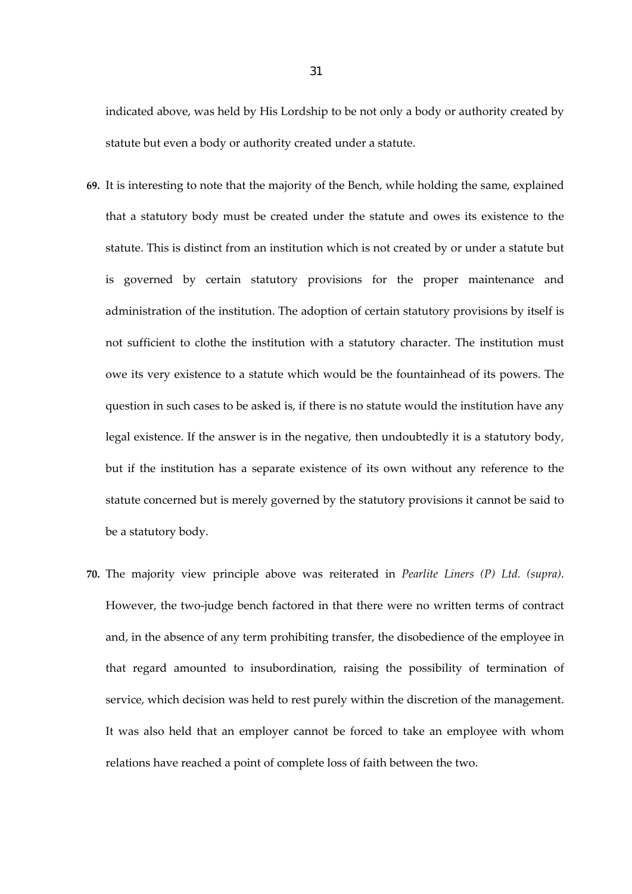indicated above, was held by His Lordship to be not only a body or authority created by statute but even a body or authority created under a statute.

- **69.** It is interesting to note that the majority of the Bench, while holding the same, explained that a statutory body must be created under the statute and owes its existence to the statute. This is distinct from an institution which is not created by or under a statute but is governed by certain statutory provisions for the proper maintenance and administration of the institution. The adoption of certain statutory provisions by itself is not sufficient to clothe the institution with a statutory character. The institution must owe its very existence to a statute which would be the fountainhead of its powers. The question in such cases to be asked is, if there is no statute would the institution have any legal existence. If the answer is in the negative, then undoubtedly it is a statutory body, but if the institution has a separate existence of its own without any reference to the statute concerned but is merely governed by the statutory provisions it cannot be said to be a statutory body.
- **70.** The majority view principle above was reiterated in *Pearlite Liners (P) Ltd. (supra)*. However, the two-judge bench factored in that there were no written terms of contract and, in the absence of any term prohibiting transfer, the disobedience of the employee in that regard amounted to insubordination, raising the possibility of termination of service, which decision was held to rest purely within the discretion of the management. It was also held that an employer cannot be forced to take an employee with whom relations have reached a point of complete loss of faith between the two.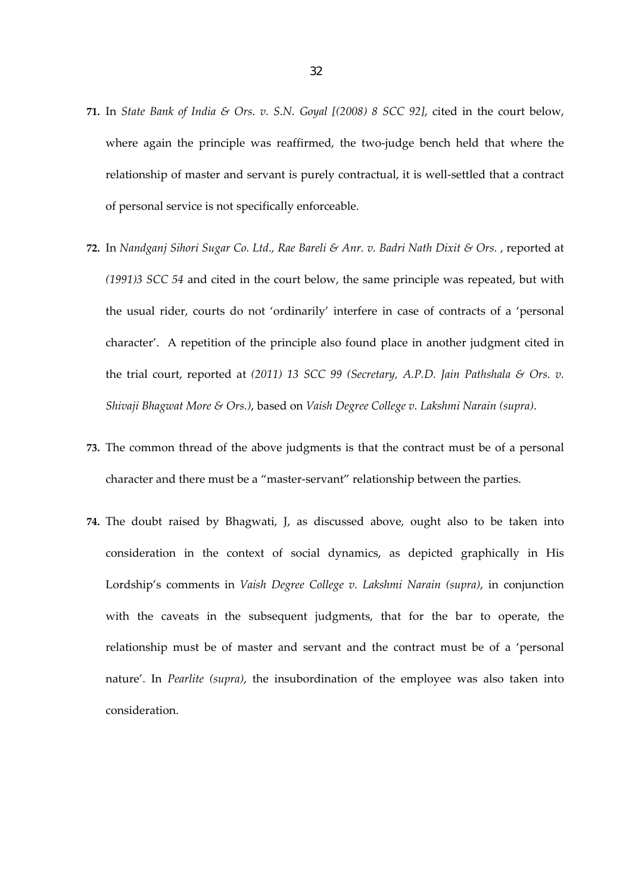- **71.** In *State Bank of India & Ors. v. S.N. Goyal [(2008) 8 SCC 92]*, cited in the court below, where again the principle was reaffirmed, the two-judge bench held that where the relationship of master and servant is purely contractual, it is well‐settled that a contract of personal service is not specifically enforceable.
- **72.** In *Nandganj Sihori Sugar Co. Ltd., Rae Bareli & Anr. v. Badri Nath Dixit & Ors.* , reported at *(1991)3 SCC 54* and cited in the court below, the same principle was repeated, but with the usual rider, courts do not 'ordinarily' interfere in case of contracts of a 'personal character'. A repetition of the principle also found place in another judgment cited in the trial court, reported at *(2011) 13 SCC 99 (Secretary, A.P.D. Jain Pathshala & Ors. v. Shivaji Bhagwat More & Ors.)*, based on *Vaish Degree College v. Lakshmi Narain (supra)*.
- **73.** The common thread of the above judgments is that the contract must be of a personal character and there must be a "master‐servant" relationship between the parties.
- **74.** The doubt raised by Bhagwati, J, as discussed above, ought also to be taken into consideration in the context of social dynamics, as depicted graphically in His Lordship's comments in *Vaish Degree College v. Lakshmi Narain (supra)*, in conjunction with the caveats in the subsequent judgments, that for the bar to operate, the relationship must be of master and servant and the contract must be of a 'personal nature'. In *Pearlite (supra)*, the insubordination of the employee was also taken into consideration.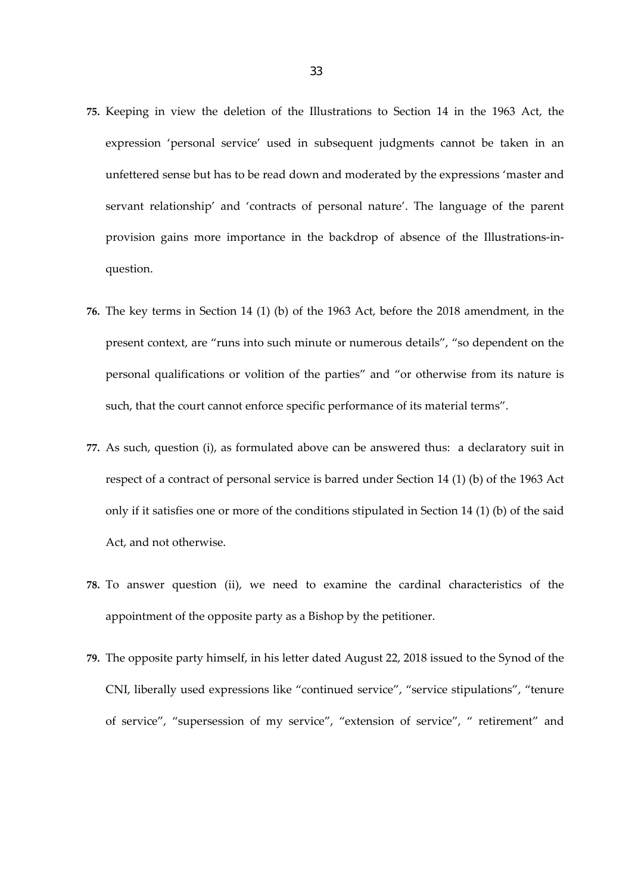- **75.** Keeping in view the deletion of the Illustrations to Section 14 in the 1963 Act, the expression 'personal service' used in subsequent judgments cannot be taken in an unfettered sense but has to be read down and moderated by the expressions 'master and servant relationship' and 'contracts of personal nature'. The language of the parent provision gains more importance in the backdrop of absence of the Illustrations-inquestion.
- **76.** The key terms in Section 14 (1) (b) of the 1963 Act, before the 2018 amendment, in the present context, are "runs into such minute or numerous details", "so dependent on the personal qualifications or volition of the parties" and "or otherwise from its nature is such, that the court cannot enforce specific performance of its material terms".
- **77.** As such, question (i), as formulated above can be answered thus: a declaratory suit in respect of a contract of personal service is barred under Section 14 (1) (b) of the 1963 Act only if it satisfies one or more of the conditions stipulated in Section 14 (1) (b) of the said Act, and not otherwise.
- **78.** To answer question (ii), we need to examine the cardinal characteristics of the appointment of the opposite party as a Bishop by the petitioner.
- **79.** The opposite party himself, in his letter dated August 22, 2018 issued to the Synod of the CNI, liberally used expressions like "continued service", "service stipulations", "tenure of service", "supersession of my service", "extension of service", " retirement" and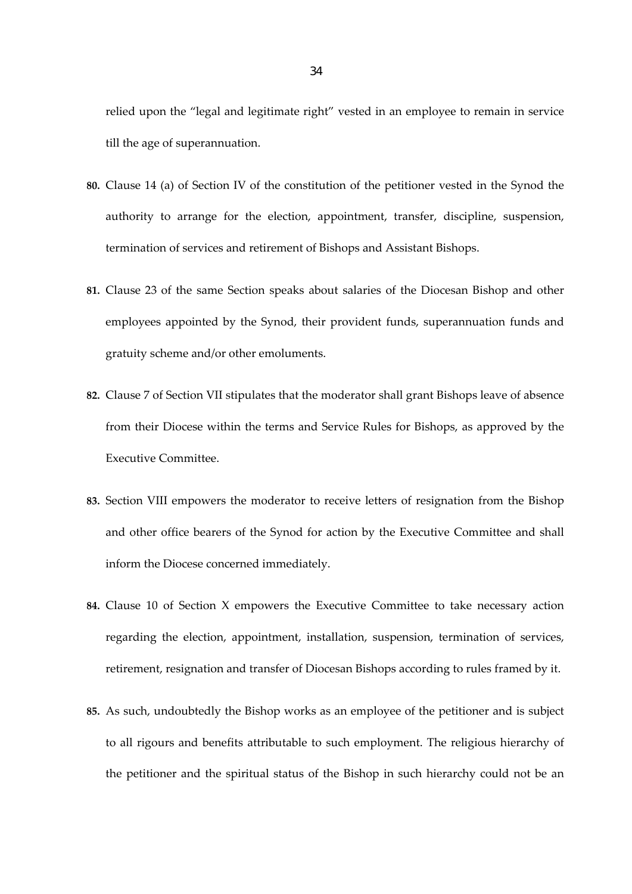relied upon the "legal and legitimate right" vested in an employee to remain in service till the age of superannuation.

- **80.** Clause 14 (a) of Section IV of the constitution of the petitioner vested in the Synod the authority to arrange for the election, appointment, transfer, discipline, suspension, termination of services and retirement of Bishops and Assistant Bishops.
- **81.** Clause 23 of the same Section speaks about salaries of the Diocesan Bishop and other employees appointed by the Synod, their provident funds, superannuation funds and gratuity scheme and/or other emoluments.
- **82.** Clause 7 of Section VII stipulates that the moderator shall grant Bishops leave of absence from their Diocese within the terms and Service Rules for Bishops, as approved by the Executive Committee.
- **83.** Section VIII empowers the moderator to receive letters of resignation from the Bishop and other office bearers of the Synod for action by the Executive Committee and shall inform the Diocese concerned immediately.
- **84.** Clause 10 of Section X empowers the Executive Committee to take necessary action regarding the election, appointment, installation, suspension, termination of services, retirement, resignation and transfer of Diocesan Bishops according to rules framed by it.
- **85.** As such, undoubtedly the Bishop works as an employee of the petitioner and is subject to all rigours and benefits attributable to such employment. The religious hierarchy of the petitioner and the spiritual status of the Bishop in such hierarchy could not be an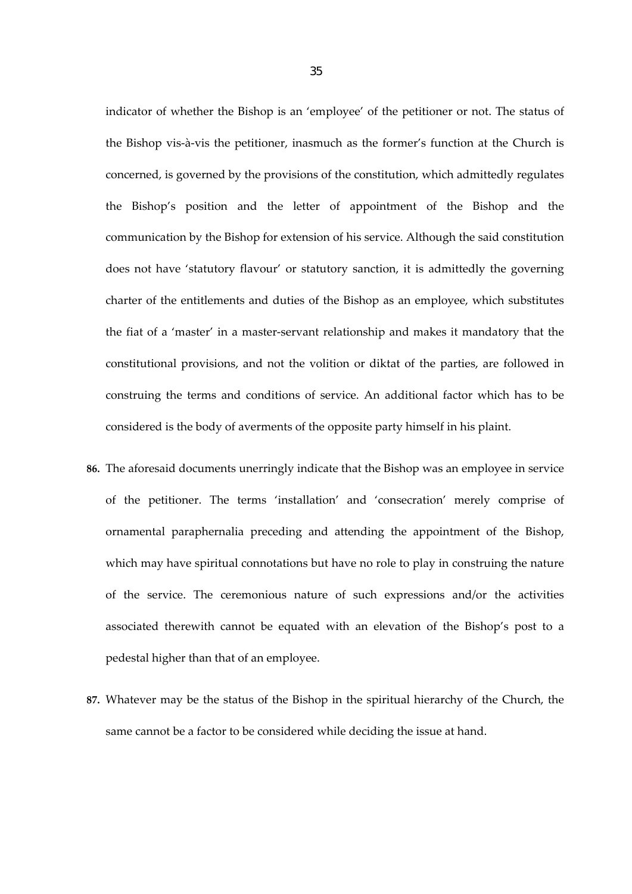indicator of whether the Bishop is an 'employee' of the petitioner or not. The status of the Bishop vis‐à‐vis the petitioner, inasmuch as the former's function at the Church is concerned, is governed by the provisions of the constitution, which admittedly regulates the Bishop's position and the letter of appointment of the Bishop and the communication by the Bishop for extension of his service. Although the said constitution does not have 'statutory flavour' or statutory sanction, it is admittedly the governing charter of the entitlements and duties of the Bishop as an employee, which substitutes the fiat of a 'master' in a master‐servant relationship and makes it mandatory that the constitutional provisions, and not the volition or diktat of the parties, are followed in construing the terms and conditions of service. An additional factor which has to be considered is the body of averments of the opposite party himself in his plaint.

- **86.** The aforesaid documents unerringly indicate that the Bishop was an employee in service of the petitioner. The terms 'installation' and 'consecration' merely comprise of ornamental paraphernalia preceding and attending the appointment of the Bishop, which may have spiritual connotations but have no role to play in construing the nature of the service. The ceremonious nature of such expressions and/or the activities associated therewith cannot be equated with an elevation of the Bishop's post to a pedestal higher than that of an employee.
- **87.** Whatever may be the status of the Bishop in the spiritual hierarchy of the Church, the same cannot be a factor to be considered while deciding the issue at hand.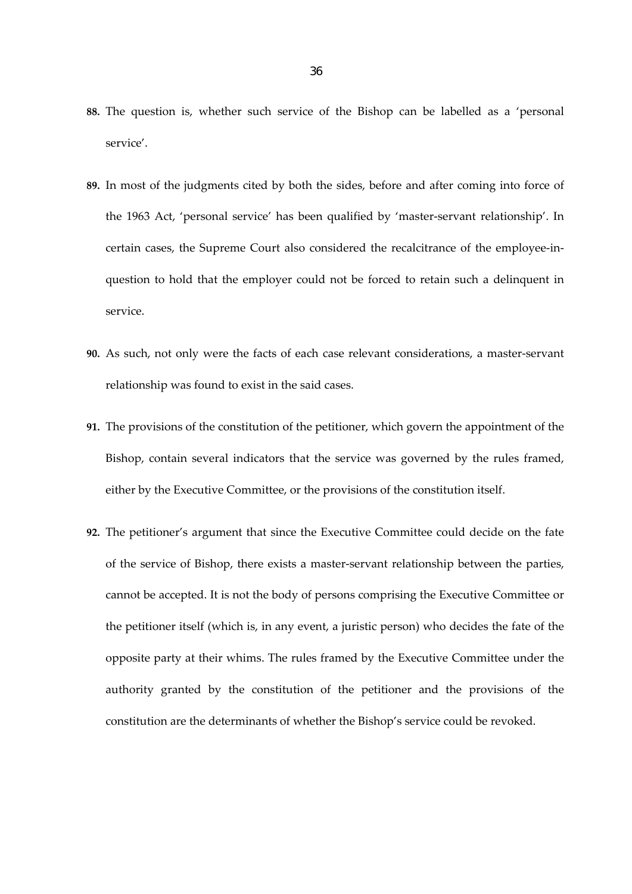- **88.** The question is, whether such service of the Bishop can be labelled as a 'personal service'.
- **89.** In most of the judgments cited by both the sides, before and after coming into force of the 1963 Act, 'personal service' has been qualified by 'master‐servant relationship'. In certain cases, the Supreme Court also considered the recalcitrance of the employee-inquestion to hold that the employer could not be forced to retain such a delinquent in service.
- **90.** As such, not only were the facts of each case relevant considerations, a master‐servant relationship was found to exist in the said cases.
- **91.** The provisions of the constitution of the petitioner, which govern the appointment of the Bishop, contain several indicators that the service was governed by the rules framed, either by the Executive Committee, or the provisions of the constitution itself.
- **92.** The petitioner's argument that since the Executive Committee could decide on the fate of the service of Bishop, there exists a master‐servant relationship between the parties, cannot be accepted. It is not the body of persons comprising the Executive Committee or the petitioner itself (which is, in any event, a juristic person) who decides the fate of the opposite party at their whims. The rules framed by the Executive Committee under the authority granted by the constitution of the petitioner and the provisions of the constitution are the determinants of whether the Bishop's service could be revoked.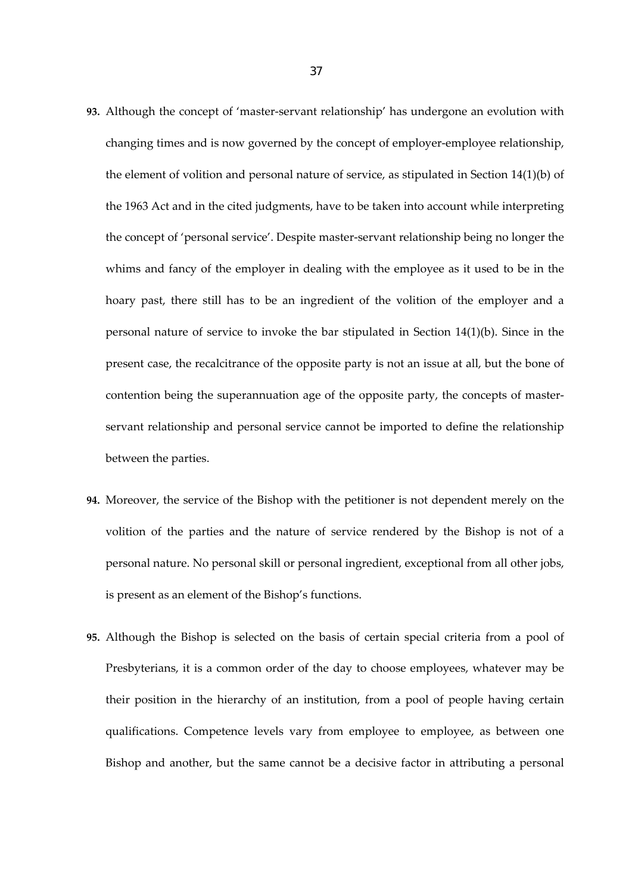- **93.** Although the concept of 'master‐servant relationship' has undergone an evolution with changing times and is now governed by the concept of employer-employee relationship, the element of volition and personal nature of service, as stipulated in Section 14(1)(b) of the 1963 Act and in the cited judgments, have to be taken into account while interpreting the concept of 'personal service'. Despite master‐servant relationship being no longer the whims and fancy of the employer in dealing with the employee as it used to be in the hoary past, there still has to be an ingredient of the volition of the employer and a personal nature of service to invoke the bar stipulated in Section 14(1)(b). Since in the present case, the recalcitrance of the opposite party is not an issue at all, but the bone of contention being the superannuation age of the opposite party, the concepts of masterservant relationship and personal service cannot be imported to define the relationship between the parties.
- **94.** Moreover, the service of the Bishop with the petitioner is not dependent merely on the volition of the parties and the nature of service rendered by the Bishop is not of a personal nature. No personal skill or personal ingredient, exceptional from all other jobs, is present as an element of the Bishop's functions.
- **95.** Although the Bishop is selected on the basis of certain special criteria from a pool of Presbyterians, it is a common order of the day to choose employees, whatever may be their position in the hierarchy of an institution, from a pool of people having certain qualifications. Competence levels vary from employee to employee, as between one Bishop and another, but the same cannot be a decisive factor in attributing a personal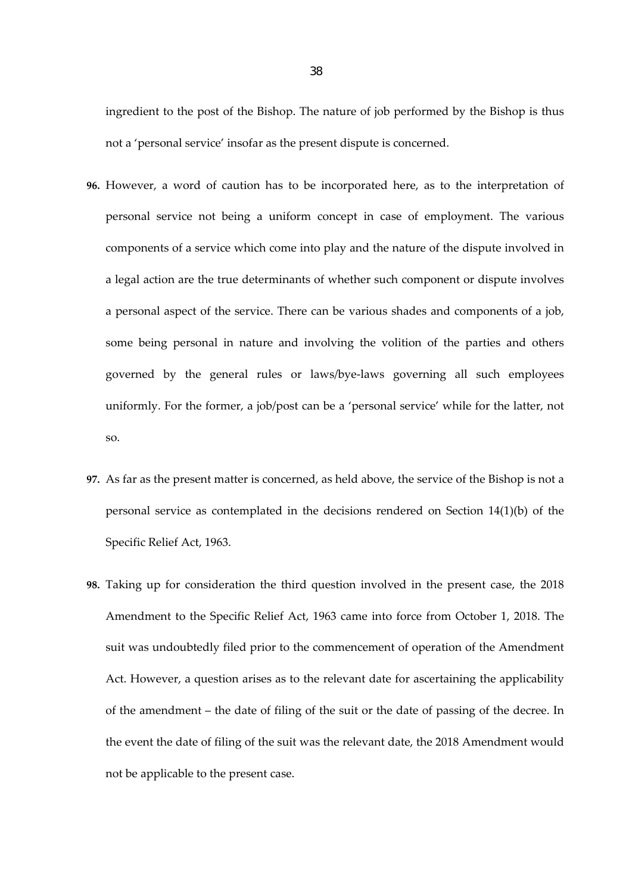ingredient to the post of the Bishop. The nature of job performed by the Bishop is thus not a 'personal service' insofar as the present dispute is concerned.

- **96.** However, a word of caution has to be incorporated here, as to the interpretation of personal service not being a uniform concept in case of employment. The various components of a service which come into play and the nature of the dispute involved in a legal action are the true determinants of whether such component or dispute involves a personal aspect of the service. There can be various shades and components of a job, some being personal in nature and involving the volition of the parties and others governed by the general rules or laws/bye‐laws governing all such employees uniformly. For the former, a job/post can be a 'personal service' while for the latter, not so.
- **97.** As far as the present matter is concerned, as held above, the service of the Bishop is not a personal service as contemplated in the decisions rendered on Section 14(1)(b) of the Specific Relief Act, 1963.
- **98.** Taking up for consideration the third question involved in the present case, the 2018 Amendment to the Specific Relief Act, 1963 came into force from October 1, 2018. The suit was undoubtedly filed prior to the commencement of operation of the Amendment Act. However, a question arises as to the relevant date for ascertaining the applicability of the amendment – the date of filing of the suit or the date of passing of the decree. In the event the date of filing of the suit was the relevant date, the 2018 Amendment would not be applicable to the present case.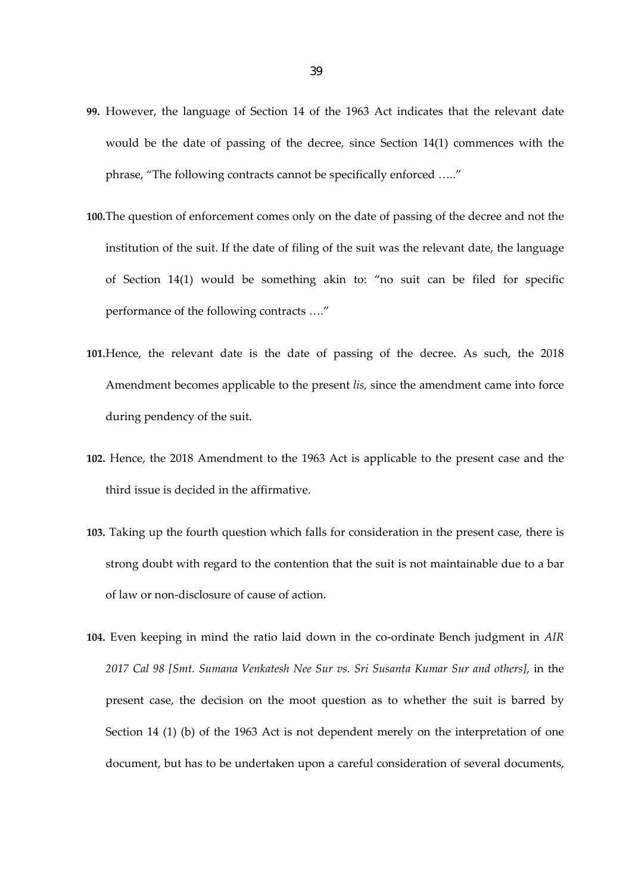- **99.** However, the language of Section 14 of the 1963 Act indicates that the relevant date would be the date of passing of the decree, since Section 14(1) commences with the phrase, "The following contracts cannot be specifically enforced ….."
- **100.**The question of enforcement comes only on the date of passing of the decree and not the institution of the suit. If the date of filing of the suit was the relevant date, the language of Section 14(1) would be something akin to: "no suit can be filed for specific performance of the following contracts …."
- **101.**Hence, the relevant date is the date of passing of the decree. As such, the 2018 Amendment becomes applicable to the present *lis,* since the amendment came into force during pendency of the suit.
- **102.** Hence, the 2018 Amendment to the 1963 Act is applicable to the present case and the third issue is decided in the affirmative.
- **103.** Taking up the fourth question which falls for consideration in the present case, there is strong doubt with regard to the contention that the suit is not maintainable due to a bar of law or non‐disclosure of cause of action.
- **104.** Even keeping in mind the ratio laid down in the co‐ordinate Bench judgment in *AIR 2017 Cal 98 [Smt. Sumana Venkatesh Nee Sur vs. Sri Susanta Kumar Sur and others]*, in the present case, the decision on the moot question as to whether the suit is barred by Section 14 (1) (b) of the 1963 Act is not dependent merely on the interpretation of one document, but has to be undertaken upon a careful consideration of several documents,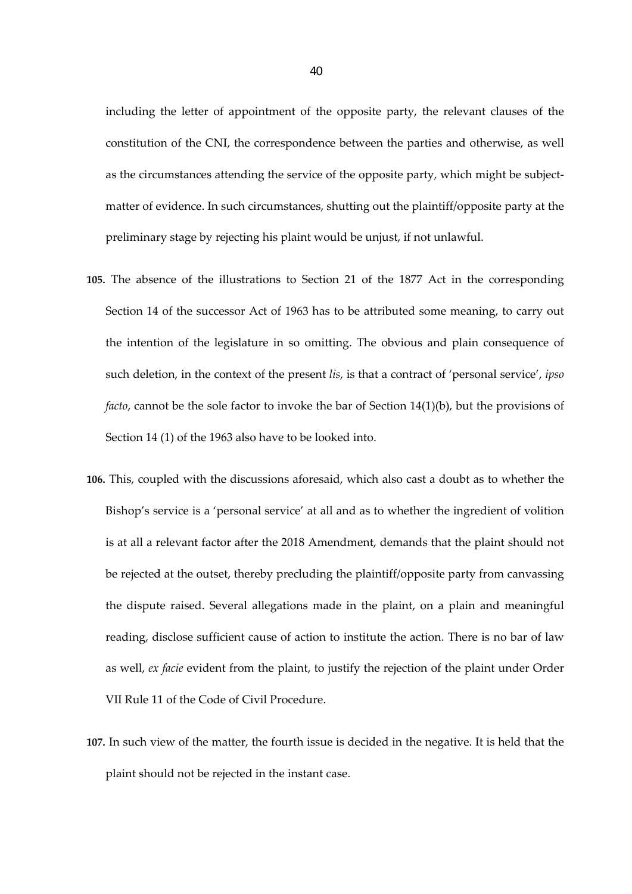including the letter of appointment of the opposite party, the relevant clauses of the constitution of the CNI, the correspondence between the parties and otherwise, as well as the circumstances attending the service of the opposite party, which might be subjectmatter of evidence. In such circumstances, shutting out the plaintiff/opposite party at the preliminary stage by rejecting his plaint would be unjust, if not unlawful.

- **105.** The absence of the illustrations to Section 21 of the 1877 Act in the corresponding Section 14 of the successor Act of 1963 has to be attributed some meaning, to carry out the intention of the legislature in so omitting. The obvious and plain consequence of such deletion, in the context of the present *lis*, is that a contract of 'personal service', *ipso facto*, cannot be the sole factor to invoke the bar of Section 14(1)(b), but the provisions of Section 14 (1) of the 1963 also have to be looked into.
- **106.** This, coupled with the discussions aforesaid, which also cast a doubt as to whether the Bishop's service is a 'personal service' at all and as to whether the ingredient of volition is at all a relevant factor after the 2018 Amendment, demands that the plaint should not be rejected at the outset, thereby precluding the plaintiff/opposite party from canvassing the dispute raised. Several allegations made in the plaint, on a plain and meaningful reading, disclose sufficient cause of action to institute the action. There is no bar of law as well, *ex facie* evident from the plaint, to justify the rejection of the plaint under Order VII Rule 11 of the Code of Civil Procedure.
- **107.** In such view of the matter, the fourth issue is decided in the negative. It is held that the plaint should not be rejected in the instant case.